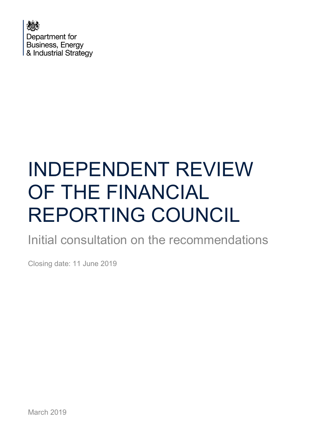

# INDEPENDENT REVIEW OF THE FINANCIAL REPORTING COUNCIL

Initial consultation on the recommendations

Closing date: 11 June 2019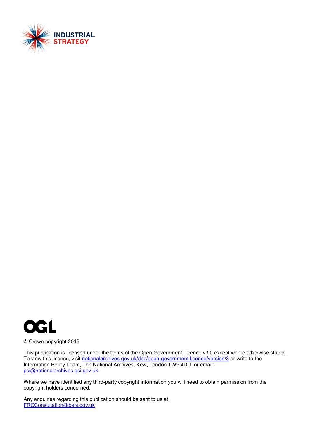



© Crown copyright 2019

This publication is licensed under the terms of the Open Government Licence v3.0 except where otherwise stated. To view this licence, visit [nationalarchives.gov.uk/doc/open-government-licence/version/3](http://nationalarchives.gov.uk/doc/open-government-licence/version/3/) or write to the Information Policy Team, The National Archives, Kew, London TW9 4DU, or email: [psi@nationalarchives.gsi.gov.uk.](mailto:psi@nationalarchives.gsi.gov.uk)

Where we have identified any third-party copyright information you will need to obtain permission from the copyright holders concerned.

Any enquiries regarding this publication should be sent to us at: [FRCConsultation@beis.gov.uk](mailto:FRCConsultation@beis.gov.uk)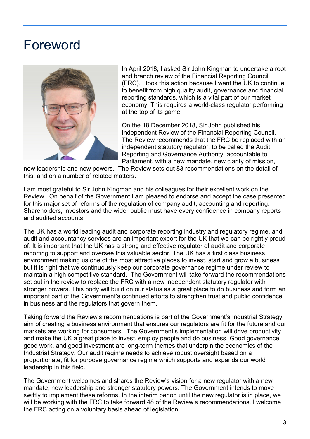## <span id="page-2-0"></span>Foreword



In April 2018, I asked Sir John Kingman to undertake a root and branch review of the Financial Reporting Council (FRC). I took this action because I want the UK to continue to benefit from high quality audit, governance and financial reporting standards, which is a vital part of our market economy. This requires a world-class regulator performing at the top of its game.

On the 18 December 2018, Sir John published his Independent Review of the Financial Reporting Council. The Review recommends that the FRC be replaced with an independent statutory regulator, to be called the Audit, Reporting and Governance Authority, accountable to Parliament, with a new mandate, new clarity of mission,

new leadership and new powers. The Review sets out 83 recommendations on the detail of this, and on a number of related matters.

I am most grateful to Sir John Kingman and his colleagues for their excellent work on the Review. On behalf of the Government I am pleased to endorse and accept the case presented for this major set of reforms of the regulation of company audit, accounting and reporting. Shareholders, investors and the wider public must have every confidence in company reports and audited accounts.

The UK has a world leading audit and corporate reporting industry and regulatory regime, and audit and accountancy services are an important export for the UK that we can be rightly proud of. It is important that the UK has a strong and effective regulator of audit and corporate reporting to support and oversee this valuable sector. The UK has a first class business environment making us one of the most attractive places to invest, start and grow a business but it is right that we continuously keep our corporate governance regime under review to maintain a high competitive standard. The Government will take forward the recommendations set out in the review to replace the FRC with a new independent statutory regulator with stronger powers. This body will build on our status as a great place to do business and form an important part of the Government's continued efforts to strengthen trust and public confidence in business and the regulators that govern them.

Taking forward the Review's recommendations is part of the Government's Industrial Strategy aim of creating a business environment that ensures our regulators are fit for the future and our markets are working for consumers. The Government's implementation will drive productivity and make the UK a great place to invest, employ people and do business. Good governance, good work, and good investment are long-term themes that underpin the economics of the Industrial Strategy. Our audit regime needs to achieve robust oversight based on a proportionate, fit for purpose governance regime which supports and expands our world leadership in this field.

The Government welcomes and shares the Review's vision for a new regulator with a new mandate, new leadership and stronger statutory powers. The Government intends to move swiftly to implement these reforms. In the interim period until the new regulator is in place, we will be working with the FRC to take forward 48 of the Review's recommendations. I welcome the FRC acting on a voluntary basis ahead of legislation.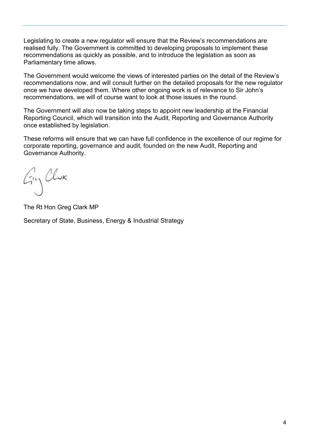Legislating to create a new regulator will ensure that the Review's recommendations are realised fully. The Government is committed to developing proposals to implement these recommendations as quickly as possible, and to introduce the legislation as soon as Parliamentary time allows.

The Government would welcome the views of interested parties on the detail of the Review's recommendations now, and will consult further on the detailed proposals for the new regulator once we have developed them. Where other ongoing work is of relevance to Sir John's recommendations, we will of course want to look at those issues in the round.

The Government will also now be taking steps to appoint new leadership at the Financial Reporting Council, which will transition into the Audit, Reporting and Governance Authority once established by legislation.

These reforms will ensure that we can have full confidence in the excellence of our regime for corporate reporting, governance and audit, founded on the new Audit, Reporting and Governance Authority.

Gry Clux

The Rt Hon Greg Clark MP

Secretary of State, Business, Energy & Industrial Strategy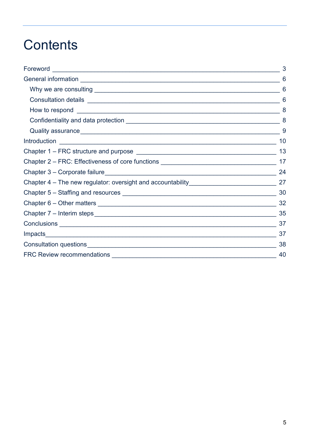## **Contents**

|                                                                                  | 6   |
|----------------------------------------------------------------------------------|-----|
|                                                                                  | 6   |
|                                                                                  | 6   |
|                                                                                  | 8   |
|                                                                                  | -8  |
|                                                                                  | -9  |
|                                                                                  | 10  |
|                                                                                  | 13  |
|                                                                                  |     |
|                                                                                  | -24 |
| Chapter 4 – The new regulator: oversight and accountability_____________________ | 27  |
|                                                                                  | 30  |
|                                                                                  | 32  |
|                                                                                  | 35  |
|                                                                                  | 37  |
|                                                                                  | 37  |
|                                                                                  | 38  |
|                                                                                  | 40  |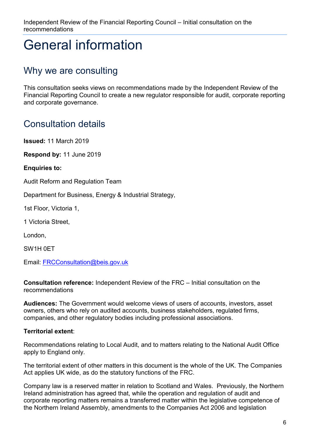## <span id="page-5-0"></span>General information

## <span id="page-5-1"></span>Why we are consulting

This consultation seeks views on recommendations made by the Independent Review of the Financial Reporting Council to create a new regulator responsible for audit, corporate reporting and corporate governance.

## <span id="page-5-2"></span>Consultation details

**Issued:** 11 March 2019

**Respond by:** 11 June 2019

**Enquiries to:** 

Audit Reform and Regulation Team

Department for Business, Energy & Industrial Strategy,

1st Floor, Victoria 1,

1 Victoria Street,

London,

SW1H 0ET

Email: [FRCConsultation@beis.gov.uk](mailto:FRCConsultation@beis.gov.uk)

**Consultation reference:** Independent Review of the FRC – Initial consultation on the recommendations

**Audiences:** The Government would welcome views of users of accounts, investors, asset owners, others who rely on audited accounts, business stakeholders, regulated firms, companies, and other regulatory bodies including professional associations.

#### **Territorial extent**:

Recommendations relating to Local Audit, and to matters relating to the National Audit Office apply to England only.

The territorial extent of other matters in this document is the whole of the UK. The Companies Act applies UK wide, as do the statutory functions of the FRC.

Company law is a reserved matter in relation to Scotland and Wales. Previously, the Northern Ireland administration has agreed that, while the operation and regulation of audit and corporate reporting matters remains a transferred matter within the legislative competence of the Northern Ireland Assembly, amendments to the Companies Act 2006 and legislation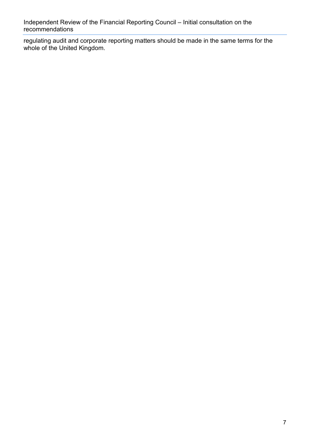regulating audit and corporate reporting matters should be made in the same terms for the whole of the United Kingdom.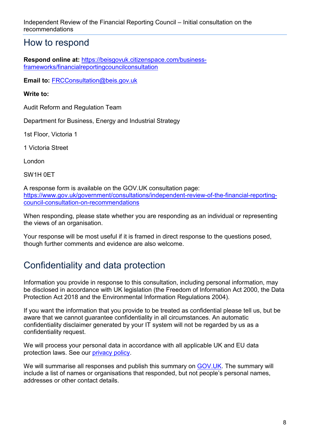### <span id="page-7-0"></span>How to respond

**Respond online at:** [https://beisgovuk.citizenspace.com/business](https://beisgovuk.citizenspace.com/business-frameworks/financialreportingcouncilconsultation)[frameworks/financialreportingcouncilconsultation](https://beisgovuk.citizenspace.com/business-frameworks/financialreportingcouncilconsultation)

**Email to:** [FRCConsultation@beis.gov.uk](mailto:FRCConsultation@beis.gov.uk)

#### **Write to:**

Audit Reform and Regulation Team

Department for Business, Energy and Industrial Strategy

1st Floor, Victoria 1

1 Victoria Street

London

SW1H 0ET

A response form is available on the GOV.UK consultation page: [https://www.gov.uk/government/consultations/independent-review-of-the-financial-reporting](https://emea01.safelinks.protection.outlook.com/?url=https%3A%2F%2Fwww.gov.uk%2Fgovernment%2Fconsultations%2Findependent-review-of-the-financial-reporting-council-consultation-on-recommendations&data=02%7C01%7Cclaire.hardgrave%40beis.gov.uk%7Cc7734e6fa06c4d591f0308d6a3d11d0d%7Ccbac700502c143ebb497e6492d1b2dd8%7C0%7C1%7C636876515885883639&sdata=Ohk7XdBFtH%2Bn8He%2B3BMo5iUGP7kFX40Xf3YWaEWcK3s%3D&reserved=0)[council-consultation-on-recommendations](https://emea01.safelinks.protection.outlook.com/?url=https%3A%2F%2Fwww.gov.uk%2Fgovernment%2Fconsultations%2Findependent-review-of-the-financial-reporting-council-consultation-on-recommendations&data=02%7C01%7Cclaire.hardgrave%40beis.gov.uk%7Cc7734e6fa06c4d591f0308d6a3d11d0d%7Ccbac700502c143ebb497e6492d1b2dd8%7C0%7C1%7C636876515885883639&sdata=Ohk7XdBFtH%2Bn8He%2B3BMo5iUGP7kFX40Xf3YWaEWcK3s%3D&reserved=0)

When responding, please state whether you are responding as an individual or representing the views of an organisation.

Your response will be most useful if it is framed in direct response to the questions posed, though further comments and evidence are also welcome.

## <span id="page-7-1"></span>Confidentiality and data protection

Information you provide in response to this consultation, including personal information, may be disclosed in accordance with UK legislation (the Freedom of Information Act 2000, the Data Protection Act 2018 and the Environmental Information Regulations 2004).

If you want the information that you provide to be treated as confidential please tell us, but be aware that we cannot guarantee confidentiality in all circumstances. An automatic confidentiality disclaimer generated by your IT system will not be regarded by us as a confidentiality request.

We will process your personal data in accordance with all applicable UK and EU data protection laws. See our [privacy policy.](https://www.gov.uk/government/organisations/department-for-business-energy-and-industrial-strategy/about/personal-information-charter)

We will summarise all responses and publish this summary on [GOV.UK.](https://www.gov.uk/government/publications?keywords=&publication_filter_option=closed-consultations&topics%5B%5D=all&departments%5B%5D=department-for-business-energy-and-industrial-strategy&official_document_status=all&world_locations%5B%5D=all&from_date=&to_date=) The summary will include a list of names or organisations that responded, but not people's personal names, addresses or other contact details.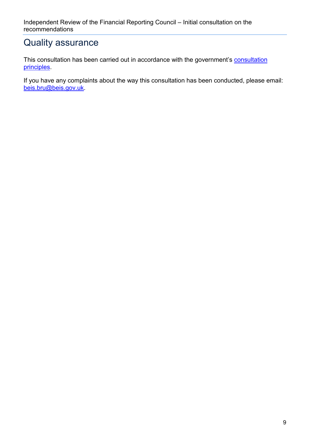### <span id="page-8-0"></span>Quality assurance

This [consultation](https://www.gov.uk/government/publications/consultation-principles-guidance) has been carried out in accordance with the government's consultation [principles.](https://www.gov.uk/government/publications/consultation-principles-guidance)

If you have any complaints about the way this consultation has been conducted, please email: [beis.bru@beis.gov.uk.](mailto:beis.bru@beis.gov.uk)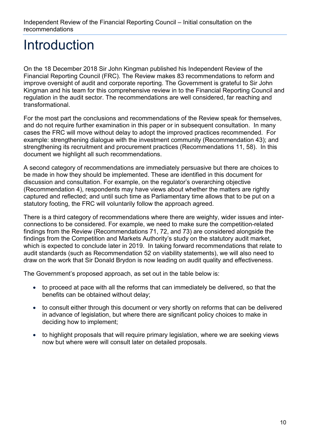## <span id="page-9-0"></span>Introduction

On the 18 December 2018 Sir John Kingman published his Independent Review of the Financial Reporting Council (FRC). The Review makes 83 recommendations to reform and improve oversight of audit and corporate reporting. The Government is grateful to Sir John Kingman and his team for this comprehensive review in to the Financial Reporting Council and regulation in the audit sector. The recommendations are well considered, far reaching and transformational.

For the most part the conclusions and recommendations of the Review speak for themselves, and do not require further examination in this paper or in subsequent consultation. In many cases the FRC will move without delay to adopt the improved practices recommended. For example: strengthening dialogue with the investment community (Recommendation 43); and strengthening its recruitment and procurement practices (Recommendations 11, 58). In this document we highlight all such recommendations.

A second category of recommendations are immediately persuasive but there are choices to be made in how they should be implemented. These are identified in this document for discussion and consultation. For example, on the regulator's overarching objective (Recommendation 4), respondents may have views about whether the matters are rightly captured and reflected; and until such time as Parliamentary time allows that to be put on a statutory footing, the FRC will voluntarily follow the approach agreed.

There is a third category of recommendations where there are weighty, wider issues and interconnections to be considered. For example, we need to make sure the competition-related findings from the Review (Recommendations 71, 72, and 73) are considered alongside the findings from the Competition and Markets Authority's study on the statutory audit market, which is expected to conclude later in 2019. In taking forward recommendations that relate to audit standards (such as Recommendation 52 on viability statements), we will also need to draw on the work that Sir Donald Brydon is now leading on audit quality and effectiveness.

The Government's proposed approach, as set out in the table below is:

- to proceed at pace with all the reforms that can immediately be delivered, so that the benefits can be obtained without delay;
- to consult either through this document or very shortly on reforms that can be delivered in advance of legislation, but where there are significant policy choices to make in deciding how to implement;
- to highlight proposals that will require primary legislation, where we are seeking views now but where were will consult later on detailed proposals.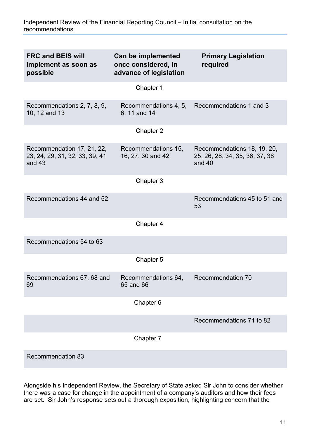| <b>FRC and BEIS will</b><br>implement as soon as<br>possible             | Can be implemented<br>once considered, in<br>advance of legislation | <b>Primary Legislation</b><br>required                                    |
|--------------------------------------------------------------------------|---------------------------------------------------------------------|---------------------------------------------------------------------------|
|                                                                          | Chapter 1                                                           |                                                                           |
| Recommendations 2, 7, 8, 9,<br>10, 12 and 13                             | Recommendations 4, 5,<br>6, 11 and 14                               | Recommendations 1 and 3                                                   |
|                                                                          | Chapter 2                                                           |                                                                           |
| Recommendation 17, 21, 22,<br>23, 24, 29, 31, 32, 33, 39, 41<br>and $43$ | Recommendations 15,<br>16, 27, 30 and 42                            | Recommendations 18, 19, 20,<br>25, 26, 28, 34, 35, 36, 37, 38<br>and $40$ |
|                                                                          | Chapter 3                                                           |                                                                           |
| Recommendations 44 and 52                                                |                                                                     | Recommendations 45 to 51 and<br>53                                        |
|                                                                          | Chapter 4                                                           |                                                                           |
| Recommendations 54 to 63                                                 |                                                                     |                                                                           |
|                                                                          | Chapter 5                                                           |                                                                           |
| Recommendations 67, 68 and<br>69                                         | Recommendations 64,<br>65 and 66                                    | <b>Recommendation 70</b>                                                  |
|                                                                          | Chapter 6                                                           |                                                                           |
|                                                                          |                                                                     | Recommendations 71 to 82                                                  |
|                                                                          | Chapter 7                                                           |                                                                           |
| <b>Recommendation 83</b>                                                 |                                                                     |                                                                           |

Alongside his Independent Review, the Secretary of State asked Sir John to consider whether there was a case for change in the appointment of a company's auditors and how their fees are set. Sir John's response sets out a thorough exposition, highlighting concern that the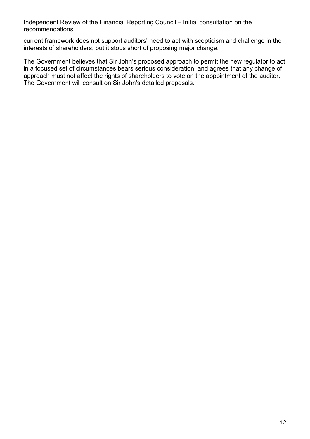current framework does not support auditors' need to act with scepticism and challenge in the interests of shareholders; but it stops short of proposing major change.

The Government believes that Sir John's proposed approach to permit the new regulator to act in a focused set of circumstances bears serious consideration; and agrees that any change of approach must not affect the rights of shareholders to vote on the appointment of the auditor. The Government will consult on Sir John's detailed proposals.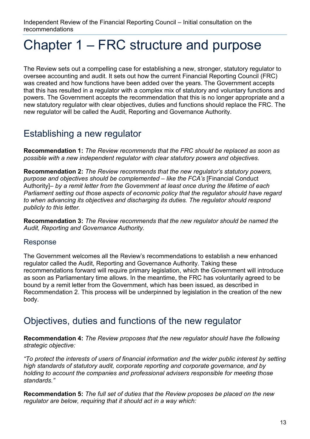## <span id="page-12-0"></span>Chapter 1 – FRC structure and purpose

The Review sets out a compelling case for establishing a new, stronger, statutory regulator to oversee accounting and audit. It sets out how the current Financial Reporting Council (FRC) was created and how functions have been added over the years. The Government accepts that this has resulted in a regulator with a complex mix of statutory and voluntary functions and powers. The Government accepts the recommendation that this is no longer appropriate and a new statutory regulator with clear objectives, duties and functions should replace the FRC. The new regulator will be called the Audit, Reporting and Governance Authority.

## Establishing a new regulator

**Recommendation 1:** *The Review recommends that the FRC should be replaced as soon as possible with a new independent regulator with clear statutory powers and objectives.*

**Recommendation 2:** *The Review recommends that the new regulator's statutory powers, purpose and objectives should be complemented – like the FCA's* [Financial Conduct Authority]*– by a remit letter from the Government at least once during the lifetime of each Parliament setting out those aspects of economic policy that the regulator should have regard to when advancing its objectives and discharging its duties. The regulator should respond publicly to this letter.*

**Recommendation 3:** *The Review recommends that the new regulator should be named the Audit, Reporting and Governance Authority.*

#### Response

The Government welcomes all the Review's recommendations to establish a new enhanced regulator called the Audit, Reporting and Governance Authority. Taking these recommendations forward will require primary legislation, which the Government will introduce as soon as Parliamentary time allows. In the meantime, the FRC has voluntarily agreed to be bound by a remit letter from the Government, which has been issued, as described in Recommendation 2. This process will be underpinned by legislation in the creation of the new body.

### Objectives, duties and functions of the new regulator

**Recommendation 4:** *The Review proposes that the new regulator should have the following strategic objective:*

*"To protect the interests of users of financial information and the wider public interest by setting high standards of statutory audit, corporate reporting and corporate governance, and by holding to account the companies and professional advisers responsible for meeting those standards."*

**Recommendation 5:** *The full set of duties that the Review proposes be placed on the new regulator are below, requiring that it should act in a way which:*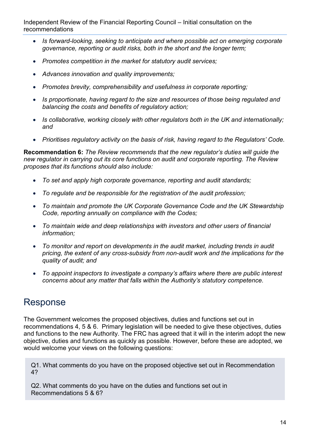- *Is forward-looking, seeking to anticipate and where possible act on emerging corporate governance, reporting or audit risks, both in the short and the longer term;*
- *Promotes competition in the market for statutory audit services;*
- *Advances innovation and quality improvements;*
- *Promotes brevity, comprehensibility and usefulness in corporate reporting;*
- *Is proportionate, having regard to the size and resources of those being regulated and balancing the costs and benefits of regulatory action;*
- *Is collaborative, working closely with other regulators both in the UK and internationally; and*
- *Prioritises regulatory activity on the basis of risk, having regard to the Regulators' Code.*

**Recommendation 6:** *The Review recommends that the new regulator's duties will guide the new regulator in carrying out its core functions on audit and corporate reporting. The Review proposes that its functions should also include:*

- *To set and apply high corporate governance, reporting and audit standards;*
- *To regulate and be responsible for the registration of the audit profession;*
- *To maintain and promote the UK Corporate Governance Code and the UK Stewardship Code, reporting annually on compliance with the Codes;*
- *To maintain wide and deep relationships with investors and other users of financial information;*
- *To monitor and report on developments in the audit market, including trends in audit pricing, the extent of any cross-subsidy from non-audit work and the implications for the quality of audit; and*
- *To appoint inspectors to investigate a company's affairs where there are public interest concerns about any matter that falls within the Authority's statutory competence.*

## Response

The Government welcomes the proposed objectives, duties and functions set out in recommendations 4, 5 & 6. Primary legislation will be needed to give these objectives, duties and functions to the new Authority. The FRC has agreed that it will in the interim adopt the new objective, duties and functions as quickly as possible. However, before these are adopted, we would welcome your views on the following questions:

Q1. What comments do you have on the proposed objective set out in Recommendation 4?

Q2. What comments do you have on the duties and functions set out in Recommendations 5 & 6?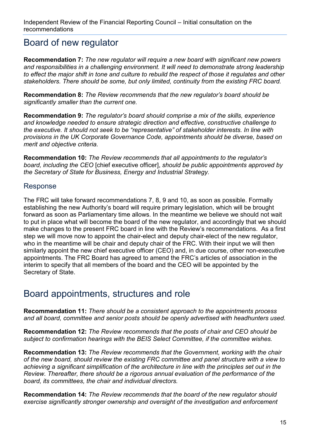### Board of new regulator

**Recommendation 7:** *The new regulator will require a new board with significant new powers and responsibilities in a challenging environment. It will need to demonstrate strong leadership to effect the major shift in tone and culture to rebuild the respect of those it regulates and other stakeholders. There should be some, but only limited, continuity from the existing FRC board.*

**Recommendation 8:** *The Review recommends that the new regulator's board should be significantly smaller than the current one.*

**Recommendation 9:** *The regulator's board should comprise a mix of the skills, experience and knowledge needed to ensure strategic direction and effective, constructive challenge to the executive. It should not seek to be "representative" of stakeholder interests. In line with provisions in the UK Corporate Governance Code, appointments should be diverse, based on merit and objective criteria.*

**Recommendation 10:** *The Review recommends that all appointments to the regulator's board, including the CEO* [chief executive officer], *should be public appointments approved by the Secretary of State for Business, Energy and Industrial Strategy.*

#### Response

The FRC will take forward recommendations 7, 8, 9 and 10, as soon as possible. Formally establishing the new Authority's board will require primary legislation, which will be brought forward as soon as Parliamentary time allows. In the meantime we believe we should not wait to put in place what will become the board of the new regulator, and accordingly that we should make changes to the present FRC board in line with the Review's recommendations. As a first step we will move now to appoint the chair-elect and deputy chair-elect of the new regulator, who in the meantime will be chair and deputy chair of the FRC. With their input we will then similarly appoint the new chief executive officer (CEO) and, in due course, other non-executive appointments. The FRC Board has agreed to amend the FRC's articles of association in the interim to specify that all members of the board and the CEO will be appointed by the Secretary of State.

### Board appointments, structures and role

**Recommendation 11:** *There should be a consistent approach to the appointments process and all board, committee and senior posts should be openly advertised with headhunters used.*

**Recommendation 12:** *The Review recommends that the posts of chair and CEO should be subject to confirmation hearings with the BEIS Select Committee, if the committee wishes.*

**Recommendation 13:** *The Review recommends that the Government, working with the chair of the new board, should review the existing FRC committee and panel structure with a view to achieving a significant simplification of the architecture in line with the principles set out in the Review. Thereafter, there should be a rigorous annual evaluation of the performance of the board, its committees, the chair and individual directors.*

**Recommendation 14:** *The Review recommends that the board of the new regulator should exercise significantly stronger ownership and oversight of the investigation and enforcement*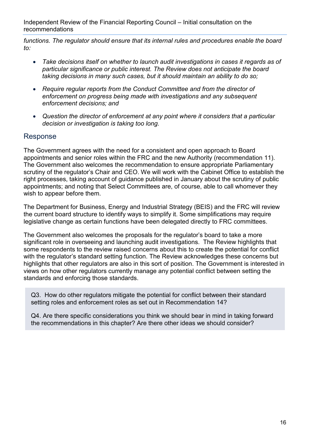*functions. The regulator should ensure that its internal rules and procedures enable the board to:*

- *Take decisions itself on whether to launch audit investigations in cases it regards as of particular significance or public interest. The Review does not anticipate the board taking decisions in many such cases, but it should maintain an ability to do so;*
- *Require regular reports from the Conduct Committee and from the director of enforcement on progress being made with investigations and any subsequent enforcement decisions; and*
- *Question the director of enforcement at any point where it considers that a particular decision or investigation is taking too long.*

#### Response

The Government agrees with the need for a consistent and open approach to Board appointments and senior roles within the FRC and the new Authority (recommendation 11). The Government also welcomes the recommendation to ensure appropriate Parliamentary scrutiny of the regulator's Chair and CEO. We will work with the Cabinet Office to establish the right processes, taking account of guidance published in January about the scrutiny of public appointments; and noting that Select Committees are, of course, able to call whomever they wish to appear before them.

The Department for Business, Energy and Industrial Strategy (BEIS) and the FRC will review the current board structure to identify ways to simplify it. Some simplifications may require legislative change as certain functions have been delegated directly to FRC committees.

The Government also welcomes the proposals for the regulator's board to take a more significant role in overseeing and launching audit investigations. The Review highlights that some respondents to the review raised concerns about this to create the potential for conflict with the regulator's standard setting function. The Review acknowledges these concerns but highlights that other regulators are also in this sort of position. The Government is interested in views on how other regulators currently manage any potential conflict between setting the standards and enforcing those standards.

Q3. How do other regulators mitigate the potential for conflict between their standard setting roles and enforcement roles as set out in Recommendation 14?

Q4. Are there specific considerations you think we should bear in mind in taking forward the recommendations in this chapter? Are there other ideas we should consider?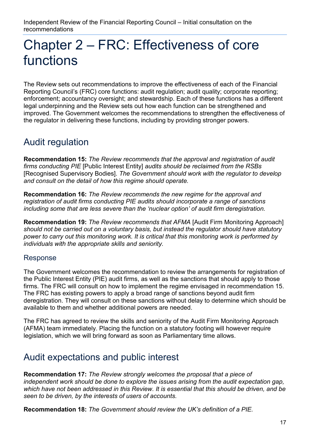## <span id="page-16-0"></span>Chapter 2 – FRC: Effectiveness of core functions

The Review sets out recommendations to improve the effectiveness of each of the Financial Reporting Council's (FRC) core functions: audit regulation; audit quality; corporate reporting; enforcement; accountancy oversight; and stewardship. Each of these functions has a different legal underpinning and the Review sets out how each function can be strengthened and improved. The Government welcomes the recommendations to strengthen the effectiveness of the regulator in delivering these functions, including by providing stronger powers.

## Audit regulation

**Recommendation 15:** *The Review recommends that the approval and registration of audit firms conducting PIE* [Public Interest Entity] *audits should be reclaimed from the RSBs*  [Recognised Supervisory Bodies]. *The Government should work with the regulator to develop and consult on the detail of how this regime should operate.*

**Recommendation 16:** *The Review recommends the new regime for the approval and registration of audit firms conducting PIE audits should incorporate a range of sanctions including some that are less severe than the 'nuclear option' of audit firm deregistration.*

**Recommendation 19:** *The Review recommends that AFMA* [Audit Firm Monitoring Approach] *should not be carried out on a voluntary basis, but instead the regulator should have statutory power to carry out this monitoring work. It is critical that this monitoring work is performed by individuals with the appropriate skills and seniority.*

#### Response

The Government welcomes the recommendation to review the arrangements for registration of the Public Interest Entity (PIE) audit firms, as well as the sanctions that should apply to those firms. The FRC will consult on how to implement the regime envisaged in recommendation 15. The FRC has existing powers to apply a broad range of sanctions beyond audit firm deregistration. They will consult on these sanctions without delay to determine which should be available to them and whether additional powers are needed.

The FRC has agreed to review the skills and seniority of the Audit Firm Monitoring Approach (AFMA) team immediately. Placing the function on a statutory footing will however require legislation, which we will bring forward as soon as Parliamentary time allows.

## Audit expectations and public interest

**Recommendation 17:** *The Review strongly welcomes the proposal that a piece of independent work should be done to explore the issues arising from the audit expectation gap, which have not been addressed in this Review. It is essential that this should be driven, and be seen to be driven, by the interests of users of accounts.*

**Recommendation 18:** *The Government should review the UK's definition of a PIE.*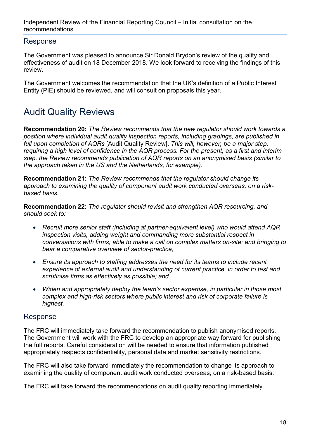#### Response

The Government was pleased to announce Sir Donald Brydon's review of the quality and effectiveness of audit on 18 December 2018. We look forward to receiving the findings of this review.

The Government welcomes the recommendation that the UK's definition of a Public Interest Entity (PIE) should be reviewed, and will consult on proposals this year.

## Audit Quality Reviews

**Recommendation 20:** *The Review recommends that the new regulator should work towards a position where individual audit quality inspection reports, including gradings, are published in full upon completion of AQRs* [Audit Quality Review]. *This will, however, be a major step, requiring a high level of confidence in the AQR process. For the present, as a first and interim step, the Review recommends publication of AQR reports on an anonymised basis (similar to the approach taken in the US and the Netherlands, for example).*

**Recommendation 21:** *The Review recommends that the regulator should change its approach to examining the quality of component audit work conducted overseas, on a riskbased basis.*

**Recommendation 22:** *The regulator should revisit and strengthen AQR resourcing, and should seek to:*

- *Recruit more senior staff (including at partner-equivalent level) who would attend AQR inspection visits, adding weight and commanding more substantial respect in conversations with firms; able to make a call on complex matters on-site; and bringing to bear a comparative overview of sector-practice;*
- *Ensure its approach to staffing addresses the need for its teams to include recent experience of external audit and understanding of current practice, in order to test and scrutinise firms as effectively as possible; and*
- *Widen and appropriately deploy the team's sector expertise, in particular in those most complex and high-risk sectors where public interest and risk of corporate failure is highest.*

#### Response

The FRC will immediately take forward the recommendation to publish anonymised reports. The Government will work with the FRC to develop an appropriate way forward for publishing the full reports. Careful consideration will be needed to ensure that information published appropriately respects confidentiality, personal data and market sensitivity restrictions.

The FRC will also take forward immediately the recommendation to change its approach to examining the quality of component audit work conducted overseas, on a risk-based basis.

The FRC will take forward the recommendations on audit quality reporting immediately.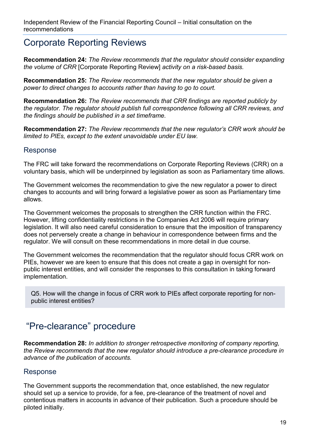## Corporate Reporting Reviews

**Recommendation 24:** *The Review recommends that the regulator should consider expanding the volume of CRR* [Corporate Reporting Review] *activity on a risk-based basis.* 

**Recommendation 25:** *The Review recommends that the new regulator should be given a power to direct changes to accounts rather than having to go to court.*

**Recommendation 26:** *The Review recommends that CRR findings are reported publicly by the regulator. The regulator should publish full correspondence following all CRR reviews, and the findings should be published in a set timeframe.*

**Recommendation 27:** *The Review recommends that the new regulator's CRR work should be limited to PIEs, except to the extent unavoidable under EU law.*

#### Response

The FRC will take forward the recommendations on Corporate Reporting Reviews (CRR) on a voluntary basis, which will be underpinned by legislation as soon as Parliamentary time allows.

The Government welcomes the recommendation to give the new regulator a power to direct changes to accounts and will bring forward a legislative power as soon as Parliamentary time allows.

The Government welcomes the proposals to strengthen the CRR function within the FRC. However, lifting confidentiality restrictions in the Companies Act 2006 will require primary legislation. It will also need careful consideration to ensure that the imposition of transparency does not perversely create a change in behaviour in correspondence between firms and the regulator. We will consult on these recommendations in more detail in due course.

The Government welcomes the recommendation that the regulator should focus CRR work on PIEs, however we are keen to ensure that this does not create a gap in oversight for nonpublic interest entities, and will consider the responses to this consultation in taking forward implementation.

Q5. How will the change in focus of CRR work to PIEs affect corporate reporting for nonpublic interest entities?

### "Pre-clearance" procedure

**Recommendation 28:** *In addition to stronger retrospective monitoring of company reporting, the Review recommends that the new regulator should introduce a pre-clearance procedure in advance of the publication of accounts.*

#### Response

The Government supports the recommendation that, once established, the new regulator should set up a service to provide, for a fee, pre-clearance of the treatment of novel and contentious matters in accounts in advance of their publication. Such a procedure should be piloted initially.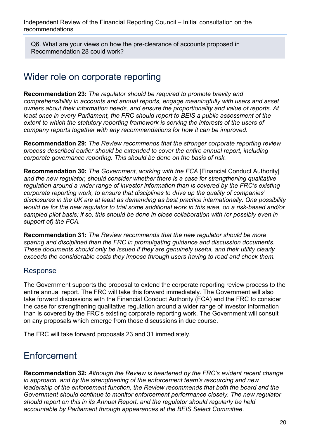Q6. What are your views on how the pre-clearance of accounts proposed in Recommendation 28 could work?

## Wider role on corporate reporting

**Recommendation 23:** *The regulator should be required to promote brevity and comprehensibility in accounts and annual reports, engage meaningfully with users and asset owners about their information needs, and ensure the proportionality and value of reports. At least once in every Parliament, the FRC should report to BEIS a public assessment of the*  extent to which the statutory reporting framework is serving the interests of the users of *company reports together with any recommendations for how it can be improved.*

**Recommendation 29:** *The Review recommends that the stronger corporate reporting review process described earlier should be extended to cover the entire annual report, including corporate governance reporting. This should be done on the basis of risk.*

**Recommendation 30:** *The Government, working with the FCA* [Financial Conduct Authority] *and the new regulator, should consider whether there is a case for strengthening qualitative regulation around a wider range of investor information than is covered by the FRC's existing corporate reporting work, to ensure that disciplines to drive up the quality of companies' disclosures in the UK are at least as demanding as best practice internationally. One possibility would be for the new regulator to trial some additional work in this area, on a risk-based and/or sampled pilot basis; if so, this should be done in close collaboration with (or possibly even in support of) the FCA.*

**Recommendation 31:** *The Review recommends that the new regulator should be more sparing and disciplined than the FRC in promulgating guidance and discussion documents. These documents should only be issued if they are genuinely useful, and their utility clearly exceeds the considerable costs they impose through users having to read and check them.*

#### Response

The Government supports the proposal to extend the corporate reporting review process to the entire annual report. The FRC will take this forward immediately. The Government will also take forward discussions with the Financial Conduct Authority (FCA) and the FRC to consider the case for strengthening qualitative regulation around a wider range of investor information than is covered by the FRC's existing corporate reporting work. The Government will consult on any proposals which emerge from those discussions in due course.

The FRC will take forward proposals 23 and 31 immediately.

### Enforcement

**Recommendation 32:** *Although the Review is heartened by the FRC's evident recent change in approach, and by the strengthening of the enforcement team's resourcing and new leadership of the enforcement function, the Review recommends that both the board and the Government should continue to monitor enforcement performance closely. The new regulator should report on this in its Annual Report, and the regulator should regularly be held accountable by Parliament through appearances at the BEIS Select Committee.*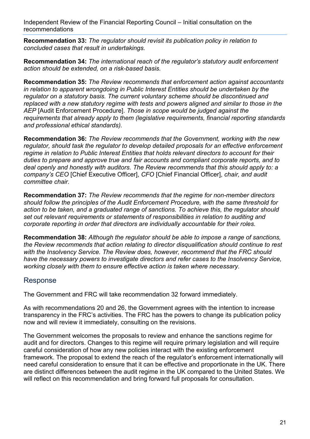**Recommendation 33:** *The regulator should revisit its publication policy in relation to concluded cases that result in undertakings.* 

**Recommendation 34:** *The international reach of the regulator's statutory audit enforcement action should be extended, on a risk-based basis.*

**Recommendation 35:** *The Review recommends that enforcement action against accountants in relation to apparent wrongdoing in Public Interest Entities should be undertaken by the regulator on a statutory basis. The current voluntary scheme should be discontinued and replaced with a new statutory regime with tests and powers aligned and similar to those in the AEP* [Audit Enforcement Procedure]. *Those in scope would be judged against the requirements that already apply to them (legislative requirements, financial reporting standards and professional ethical standards).*

**Recommendation 36:** *The Review recommends that the Government, working with the new regulator, should task the regulator to develop detailed proposals for an effective enforcement regime in relation to Public Interest Entities that holds relevant directors to account for their duties to prepare and approve true and fair accounts and compliant corporate reports, and to deal openly and honestly with auditors. The Review recommends that this should apply to: a company's CEO* [Chief Executive Officer], *CFO* [Chief Financial Officer], *chair, and audit committee chair.* 

**Recommendation 37:** *The Review recommends that the regime for non-member directors should follow the principles of the Audit Enforcement Procedure, with the same threshold for action to be taken, and a graduated range of sanctions. To achieve this, the regulator should set out relevant requirements or statements of responsibilities in relation to auditing and corporate reporting in order that directors are individually accountable for their roles.* 

**Recommendation 38:** *Although the regulator should be able to impose a range of sanctions, the Review recommends that action relating to director disqualification should continue to rest with the Insolvency Service. The Review does, however, recommend that the FRC should have the necessary powers to investigate directors and refer cases to the Insolvency Service, working closely with them to ensure effective action is taken where necessary.* 

#### Response

The Government and FRC will take recommendation 32 forward immediately.

As with recommendations 20 and 26, the Government agrees with the intention to increase transparency in the FRC's activities. The FRC has the powers to change its publication policy now and will review it immediately, consulting on the revisions.

The Government welcomes the proposals to review and enhance the sanctions regime for audit and for directors. Changes to this regime will require primary legislation and will require careful consideration of how any new policies interact with the existing enforcement framework. The proposal to extend the reach of the regulator's enforcement internationally will need careful consideration to ensure that it can be effective and proportionate in the UK. There are distinct differences between the audit regime in the UK compared to the United States. We will reflect on this recommendation and bring forward full proposals for consultation.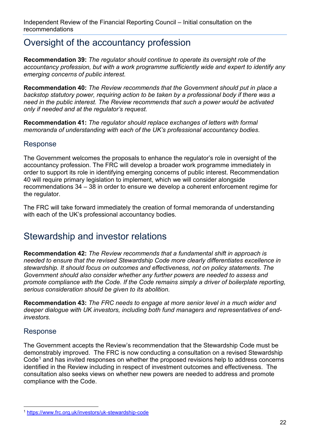## Oversight of the accountancy profession

**Recommendation 39:** *The regulator should continue to operate its oversight role of the accountancy profession, but with a work programme sufficiently wide and expert to identify any emerging concerns of public interest.* 

**Recommendation 40:** *The Review recommends that the Government should put in place a backstop statutory power, requiring action to be taken by a professional body if there was a need in the public interest. The Review recommends that such a power would be activated only if needed and at the regulator's request.* 

**Recommendation 41:** *The regulator should replace exchanges of letters with formal memoranda of understanding with each of the UK's professional accountancy bodies*.

#### Response

The Government welcomes the proposals to enhance the regulator's role in oversight of the accountancy profession. The FRC will develop a broader work programme immediately in order to support its role in identifying emerging concerns of public interest. Recommendation 40 will require primary legislation to implement, which we will consider alongside recommendations 34 – 38 in order to ensure we develop a coherent enforcement regime for the regulator.

The FRC will take forward immediately the creation of formal memoranda of understanding with each of the UK's professional accountancy bodies.

### Stewardship and investor relations

**Recommendation 42:** *The Review recommends that a fundamental shift in approach is needed to ensure that the revised Stewardship Code more clearly differentiates excellence in stewardship. It should focus on outcomes and effectiveness, not on policy statements. The Government should also consider whether any further powers are needed to assess and promote compliance with the Code. If the Code remains simply a driver of boilerplate reporting, serious consideration should be given to its abolition.* 

**Recommendation 43:** *The FRC needs to engage at more senior level in a much wider and deeper dialogue with UK investors, including both fund managers and representatives of endinvestors.*

#### Response

The Government accepts the Review's recommendation that the Stewardship Code must be demonstrably improved. The FRC is now conducting a consultation on a revised Stewardship  $Code<sup>1</sup>$  $Code<sup>1</sup>$  $Code<sup>1</sup>$  and has invited responses on whether the proposed revisions help to address concerns identified in the Review including in respect of investment outcomes and effectiveness. The consultation also seeks views on whether new powers are needed to address and promote compliance with the Code.

<span id="page-21-0"></span> <sup>1</sup> [https://www.frc.org.uk/investors/uk-stewardship-code](https://emea01.safelinks.protection.outlook.com/?url=https%3A%2F%2Fwww.frc.org.uk%2Finvestors%2Fuk-stewardship-code&data=02%7C01%7C%7Cfd2c451cf8504886812b08d68768ed0c%7Ccbac700502c143ebb497e6492d1b2dd8%7C0%7C0%7C636845282047178633&sdata=rFqahnK0BnPSv97dWEHGmWZLnJVebse8cFBbeKXwSbY%3D&reserved=0)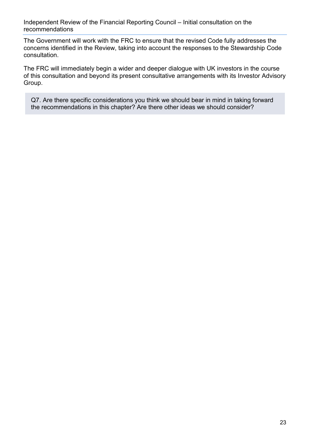The Government will work with the FRC to ensure that the revised Code fully addresses the concerns identified in the Review, taking into account the responses to the Stewardship Code consultation.

The FRC will immediately begin a wider and deeper dialogue with UK investors in the course of this consultation and beyond its present consultative arrangements with its Investor Advisory Group.

Q7. Are there specific considerations you think we should bear in mind in taking forward the recommendations in this chapter? Are there other ideas we should consider?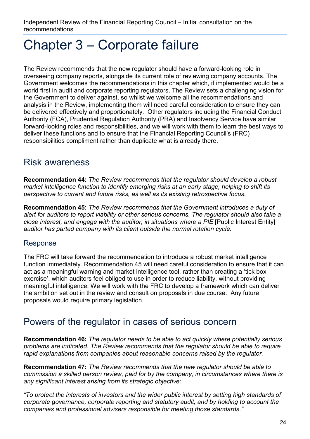## <span id="page-23-0"></span>Chapter 3 – Corporate failure

The Review recommends that the new regulator should have a forward-looking role in overseeing company reports, alongside its current role of reviewing company accounts. The Government welcomes the recommendations in this chapter which, if implemented would be a world first in audit and corporate reporting regulators. The Review sets a challenging vision for the Government to deliver against, so whilst we welcome all the recommendations and analysis in the Review, implementing them will need careful consideration to ensure they can be delivered effectively and proportionately. Other regulators including the Financial Conduct Authority (FCA), Prudential Regulation Authority (PRA) and Insolvency Service have similar forward-looking roles and responsibilities, and we will work with them to learn the best ways to deliver these functions and to ensure that the Financial Reporting Council's (FRC) responsibilities compliment rather than duplicate what is already there.

## Risk awareness

**Recommendation 44:** *The Review recommends that the regulator should develop a robust market intelligence function to identify emerging risks at an early stage, helping to shift its perspective to current and future risks, as well as its existing retrospective focus.*

**Recommendation 45:** *The Review recommends that the Government introduces a duty of*  alert for auditors to report viability or other serious concerns. The regulator should also take a *close interest, and engage with the auditor, in situations where a PIE* [Public Interest Entity] *auditor has parted company with its client outside the normal rotation cycle.*

#### Response

The FRC will take forward the recommendation to introduce a robust market intelligence function immediately. Recommendation 45 will need careful consideration to ensure that it can act as a meaningful warning and market intelligence tool, rather than creating a 'tick box exercise', which auditors feel obliged to use in order to reduce liability, without providing meaningful intelligence. We will work with the FRC to develop a framework which can deliver the ambition set out in the review and consult on proposals in due course. Any future proposals would require primary legislation.

### Powers of the regulator in cases of serious concern

**Recommendation 46:** *The regulator needs to be able to act quickly where potentially serious problems are indicated. The Review recommends that the regulator should be able to require rapid explanations from companies about reasonable concerns raised by the regulator.* 

**Recommendation 47:** *The Review recommends that the new regulator should be able to commission a skilled person review, paid for by the company, in circumstances where there is any significant interest arising from its strategic objective:*

*"To protect the interests of investors and the wider public interest by setting high standards of corporate governance, corporate reporting and statutory audit, and by holding to account the companies and professional advisers responsible for meeting those standards."*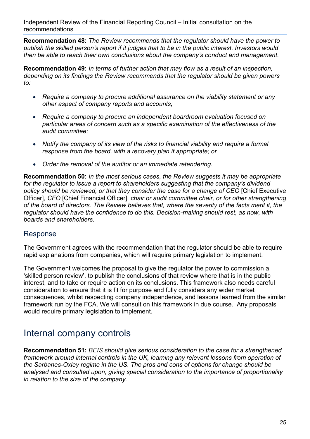**Recommendation 48:** *The Review recommends that the regulator should have the power to publish the skilled person's report if it judges that to be in the public interest. Investors would then be able to reach their own conclusions about the company's conduct and management.*

**Recommendation 49:** *In terms of further action that may flow as a result of an inspection, depending on its findings the Review recommends that the regulator should be given powers to:*

- *Require a company to procure additional assurance on the viability statement or any other aspect of company reports and accounts;*
- *Require a company to procure an independent boardroom evaluation focused on particular areas of concern such as a specific examination of the effectiveness of the audit committee;*
- *Notify the company of its view of the risks to financial viability and require a formal response from the board, with a recovery plan if appropriate; or*
- *Order the removal of the auditor or an immediate retendering.*

**Recommendation 50:** *In the most serious cases, the Review suggests it may be appropriate for the regulator to issue a report to shareholders suggesting that the company's dividend policy should be reviewed, or that they consider the case for a change of CEO* [Chief Executive Officer], *CFO* [Chief Financial Officer], *chair or audit committee chair, or for other strengthening of the board of directors. The Review believes that, where the severity of the facts merit it, the regulator should have the confidence to do this. Decision-making should rest, as now, with boards and shareholders.*

#### Response

The Government agrees with the recommendation that the regulator should be able to require rapid explanations from companies, which will require primary legislation to implement.

The Government welcomes the proposal to give the regulator the power to commission a 'skilled person review', to publish the conclusions of that review where that is in the public interest, and to take or require action on its conclusions. This framework also needs careful consideration to ensure that it is fit for purpose and fully considers any wider market consequences, whilst respecting company independence, and lessons learned from the similar framework run by the FCA. We will consult on this framework in due course. Any proposals would require primary legislation to implement.

### Internal company controls

**Recommendation 51:** *BEIS should give serious consideration to the case for a strengthened framework around internal controls in the UK, learning any relevant lessons from operation of the Sarbanes-Oxley regime in the US. The pros and cons of options for change should be analysed and consulted upon, giving special consideration to the importance of proportionality in relation to the size of the company.*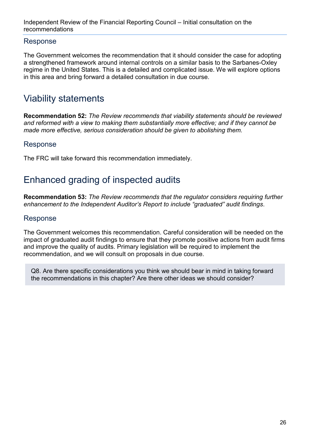#### Response

The Government welcomes the recommendation that it should consider the case for adopting a strengthened framework around internal controls on a similar basis to the Sarbanes-Oxley regime in the United States. This is a detailed and complicated issue. We will explore options in this area and bring forward a detailed consultation in due course.

## Viability statements

**Recommendation 52:** *The Review recommends that viability statements should be reviewed and reformed with a view to making them substantially more effective; and if they cannot be made more effective, serious consideration should be given to abolishing them.*

#### Response

The FRC will take forward this recommendation immediately.

## Enhanced grading of inspected audits

**Recommendation 53:** *The Review recommends that the regulator considers requiring further enhancement to the Independent Auditor's Report to include "graduated" audit findings*.

#### Response

The Government welcomes this recommendation. Careful consideration will be needed on the impact of graduated audit findings to ensure that they promote positive actions from audit firms and improve the quality of audits. Primary legislation will be required to implement the recommendation, and we will consult on proposals in due course.

Q8. Are there specific considerations you think we should bear in mind in taking forward the recommendations in this chapter? Are there other ideas we should consider?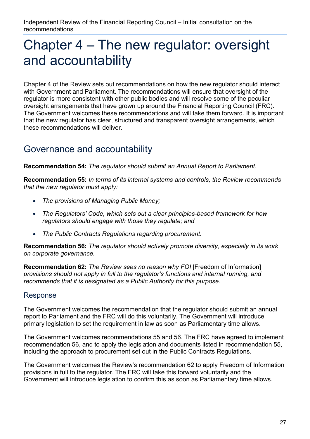## <span id="page-26-0"></span>Chapter 4 – The new regulator: oversight and accountability

Chapter 4 of the Review sets out recommendations on how the new regulator should interact with Government and Parliament. The recommendations will ensure that oversight of the regulator is more consistent with other public bodies and will resolve some of the peculiar oversight arrangements that have grown up around the Financial Reporting Council (FRC). The Government welcomes these recommendations and will take them forward. It is important that the new regulator has clear, structured and transparent oversight arrangements, which these recommendations will deliver.

## Governance and accountability

**Recommendation 54:** *The regulator should submit an Annual Report to Parliament.* 

**Recommendation 55:** *In terms of its internal systems and controls, the Review recommends that the new regulator must apply:*

- *The provisions of Managing Public Money;*
- *The Regulators' Code, which sets out a clear principles-based framework for how regulators should engage with those they regulate; and*
- *The Public Contracts Regulations regarding procurement.*

**Recommendation 56:** *The regulator should actively promote diversity, especially in its work on corporate governance.* 

**Recommendation 62:** *The Review sees no reason why FOI* [Freedom of Information] *provisions should not apply in full to the regulator's functions and internal running, and recommends that it is designated as a Public Authority for this purpose.* 

#### Response

The Government welcomes the recommendation that the regulator should submit an annual report to Parliament and the FRC will do this voluntarily. The Government will introduce primary legislation to set the requirement in law as soon as Parliamentary time allows.

The Government welcomes recommendations 55 and 56. The FRC have agreed to implement recommendation 56, and to apply the legislation and documents listed in recommendation 55, including the approach to procurement set out in the Public Contracts Regulations.

The Government welcomes the Review's recommendation 62 to apply Freedom of Information provisions in full to the regulator. The FRC will take this forward voluntarily and the Government will introduce legislation to confirm this as soon as Parliamentary time allows.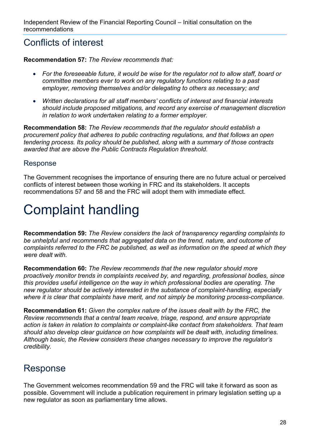## Conflicts of interest

**Recommendation 57:** *The Review recommends that:*

- *For the foreseeable future, it would be wise for the regulator not to allow staff, board or committee members ever to work on any regulatory functions relating to a past employer, removing themselves and/or delegating to others as necessary; and*
- *Written declarations for all staff members' conflicts of interest and financial interests should include proposed mitigations, and record any exercise of management discretion in relation to work undertaken relating to a former employer.*

**Recommendation 58:** *The Review recommends that the regulator should establish a procurement policy that adheres to public contracting regulations, and that follows an open tendering process. Its policy should be published, along with a summary of those contracts awarded that are above the Public Contracts Regulation threshold.*

#### Response

The Government recognises the importance of ensuring there are no future actual or perceived conflicts of interest between those working in FRC and its stakeholders. It accepts recommendations 57 and 58 and the FRC will adopt them with immediate effect.

## Complaint handling

**Recommendation 59:** *The Review considers the lack of transparency regarding complaints to be unhelpful and recommends that aggregated data on the trend, nature, and outcome of complaints referred to the FRC be published, as well as information on the speed at which they were dealt with.* 

**Recommendation 60:** *The Review recommends that the new regulator should more proactively monitor trends in complaints received by, and regarding, professional bodies, since this provides useful intelligence on the way in which professional bodies are operating. The new regulator should be actively interested in the substance of complaint-handling, especially where it is clear that complaints have merit, and not simply be monitoring process-compliance.* 

**Recommendation 61:** *Given the complex nature of the issues dealt with by the FRC, the Review recommends that a central team receive, triage, respond, and ensure appropriate action is taken in relation to complaints or complaint-like contact from stakeholders. That team should also develop clear guidance on how complaints will be dealt with, including timelines. Although basic, the Review considers these changes necessary to improve the regulator's credibility.* 

## Response

The Government welcomes recommendation 59 and the FRC will take it forward as soon as possible. Government will include a publication requirement in primary legislation setting up a new regulator as soon as parliamentary time allows.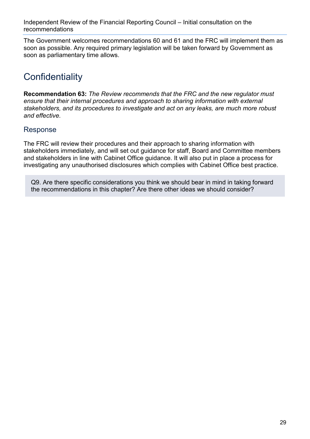The Government welcomes recommendations 60 and 61 and the FRC will implement them as soon as possible. Any required primary legislation will be taken forward by Government as soon as parliamentary time allows.

## **Confidentiality**

**Recommendation 63:** *The Review recommends that the FRC and the new regulator must ensure that their internal procedures and approach to sharing information with external stakeholders, and its procedures to investigate and act on any leaks, are much more robust and effective.*

#### Response

The FRC will review their procedures and their approach to sharing information with stakeholders immediately, and will set out guidance for staff, Board and Committee members and stakeholders in line with Cabinet Office guidance. It will also put in place a process for investigating any unauthorised disclosures which complies with Cabinet Office best practice.

Q9. Are there specific considerations you think we should bear in mind in taking forward the recommendations in this chapter? Are there other ideas we should consider?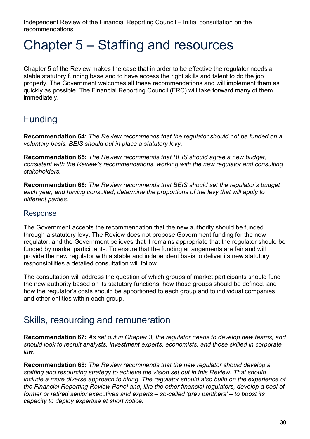## <span id="page-29-0"></span>Chapter 5 – Staffing and resources

Chapter 5 of the Review makes the case that in order to be effective the regulator needs a stable statutory funding base and to have access the right skills and talent to do the job properly. The Government welcomes all these recommendations and will implement them as quickly as possible. The Financial Reporting Council (FRC) will take forward many of them immediately.

## Funding

**Recommendation 64:** *The Review recommends that the regulator should not be funded on a voluntary basis. BEIS should put in place a statutory levy.* 

**Recommendation 65:** *The Review recommends that BEIS should agree a new budget, consistent with the Review's recommendations, working with the new regulator and consulting stakeholders.*

**Recommendation 66:** *The Review recommends that BEIS should set the regulator's budget each year, and having consulted, determine the proportions of the levy that will apply to different parties.* 

#### Response

The Government accepts the recommendation that the new authority should be funded through a statutory levy. The Review does not propose Government funding for the new regulator, and the Government believes that it remains appropriate that the regulator should be funded by market participants. To ensure that the funding arrangements are fair and will provide the new regulator with a stable and independent basis to deliver its new statutory responsibilities a detailed consultation will follow.

The consultation will address the question of which groups of market participants should fund the new authority based on its statutory functions, how those groups should be defined, and how the regulator's costs should be apportioned to each group and to individual companies and other entities within each group.

### Skills, resourcing and remuneration

**Recommendation 67:** *As set out in Chapter 3, the regulator needs to develop new teams, and should look to recruit analysts, investment experts, economists, and those skilled in corporate law.* 

**Recommendation 68:** *The Review recommends that the new regulator should develop a staffing and resourcing strategy to achieve the vision set out in this Review. That should include a more diverse approach to hiring. The regulator should also build on the experience of the Financial Reporting Review Panel and, like the other financial regulators, develop a pool of former or retired senior executives and experts – so-called 'grey panthers' – to boost its capacity to deploy expertise at short notice.*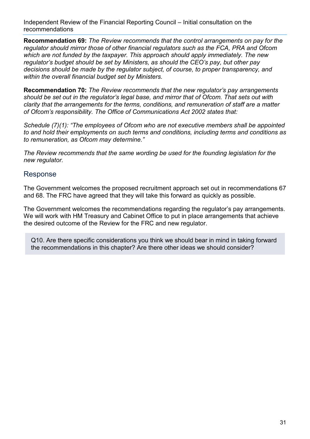**Recommendation 69:** *The Review recommends that the control arrangements on pay for the regulator should mirror those of other financial regulators such as the FCA, PRA and Ofcom which are not funded by the taxpayer. This approach should apply immediately. The new regulator's budget should be set by Ministers, as should the CEO's pay, but other pay decisions should be made by the regulator subject, of course, to proper transparency, and within the overall financial budget set by Ministers.* 

**Recommendation 70:** *The Review recommends that the new regulator's pay arrangements should be set out in the regulator's legal base, and mirror that of Ofcom. That sets out with clarity that the arrangements for the terms, conditions, and remuneration of staff are a matter of Ofcom's responsibility. The Office of Communications Act 2002 states that:* 

*Schedule (7)(1): "The employees of Ofcom who are not executive members shall be appointed to and hold their employments on such terms and conditions, including terms and conditions as to remuneration, as Ofcom may determine."* 

*The Review recommends that the same wording be used for the founding legislation for the new regulator.*

#### Response

The Government welcomes the proposed recruitment approach set out in recommendations 67 and 68. The FRC have agreed that they will take this forward as quickly as possible.

The Government welcomes the recommendations regarding the regulator's pay arrangements. We will work with HM Treasury and Cabinet Office to put in place arrangements that achieve the desired outcome of the Review for the FRC and new regulator.

Q10. Are there specific considerations you think we should bear in mind in taking forward the recommendations in this chapter? Are there other ideas we should consider?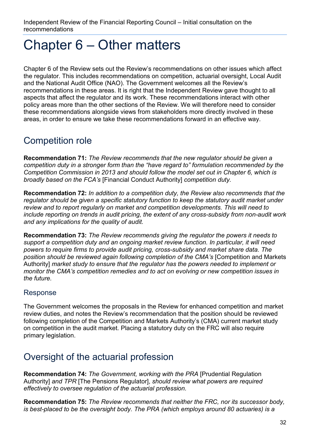## <span id="page-31-0"></span>Chapter 6 – Other matters

Chapter 6 of the Review sets out the Review's recommendations on other issues which affect the regulator. This includes recommendations on competition, actuarial oversight, Local Audit and the National Audit Office (NAO). The Government welcomes all the Review's recommendations in these areas. It is right that the Independent Review gave thought to all aspects that affect the regulator and its work. These recommendations interact with other policy areas more than the other sections of the Review. We will therefore need to consider these recommendations alongside views from stakeholders more directly involved in these areas, in order to ensure we take these recommendations forward in an effective way.

## Competition role

**Recommendation 71:** *The Review recommends that the new regulator should be given a competition duty in a stronger form than the "have regard to" formulation recommended by the Competition Commission in 2013 and should follow the model set out in Chapter 6, which is broadly based on the FCA's* [Financial Conduct Authority] *competition duty.* 

**Recommendation 72:** *In addition to a competition duty, the Review also recommends that the regulator should be given a specific statutory function to keep the statutory audit market under review and to report regularly on market and competition developments. This will need to include reporting on trends in audit pricing, the extent of any cross-subsidy from non-audit work and any implications for the quality of audit.* 

**Recommendation 73:** *The Review recommends giving the regulator the powers it needs to support a competition duty and an ongoing market review function. In particular, it will need powers to require firms to provide audit pricing, cross-subsidy and market share data. The position should be reviewed again following completion of the CMA's* [Competition and Markets Authority] *market study to ensure that the regulator has the powers needed to implement or monitor the CMA's competition remedies and to act on evolving or new competition issues in the future.*

#### Response

The Government welcomes the proposals in the Review for enhanced competition and market review duties, and notes the Review's recommendation that the position should be reviewed following completion of the Competition and Markets Authority's (CMA) current market study on competition in the audit market. Placing a statutory duty on the FRC will also require primary legislation.

## Oversight of the actuarial profession

**Recommendation 74:** *The Government, working with the PRA* [Prudential Regulation Authority] *and TPR* [The Pensions Regulator], *should review what powers are required effectively to oversee regulation of the actuarial profession.* 

**Recommendation 75:** *The Review recommends that neither the FRC, nor its successor body, is best-placed to be the oversight body. The PRA (which employs around 80 actuaries) is a*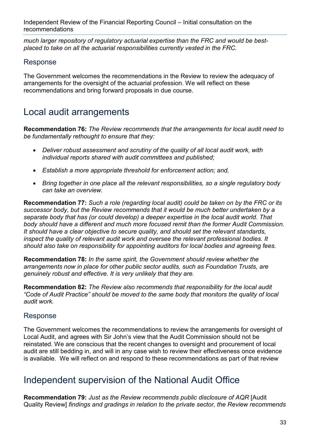*much larger repository of regulatory actuarial expertise than the FRC and would be bestplaced to take on all the actuarial responsibilities currently vested in the FRC.* 

#### Response

The Government welcomes the recommendations in the Review to review the adequacy of arrangements for the oversight of the actuarial profession. We will reflect on these recommendations and bring forward proposals in due course.

## Local audit arrangements

**Recommendation 76:** *The Review recommends that the arrangements for local audit need to be fundamentally rethought to ensure that they:* 

- *Deliver robust assessment and scrutiny of the quality of all local audit work, with individual reports shared with audit committees and published;*
- *Establish a more appropriate threshold for enforcement action; and,*
- *Bring together in one place all the relevant responsibilities, so a single regulatory body can take an overview.*

**Recommendation 77:** *Such a role (regarding local audit) could be taken on by the FRC or its successor body, but the Review recommends that it would be much better undertaken by a separate body that has (or could develop) a deeper expertise in the local audit world. That body should have a different and much more focused remit than the former Audit Commission. It should have a clear objective to secure quality, and should set the relevant standards, inspect the quality of relevant audit work and oversee the relevant professional bodies. It should also take on responsibility for appointing auditors for local bodies and agreeing fees.*

**Recommendation 78:** *In the same spirit, the Government should review whether the arrangements now in place for other public sector audits, such as Foundation Trusts, are genuinely robust and effective. It is very unlikely that they are.* 

**Recommendation 82:** *The Review also recommends that responsibility for the local audit "Code of Audit Practice" should be moved to the same body that monitors the quality of local audit work.*

#### Response

The Government welcomes the recommendations to review the arrangements for oversight of Local Audit, and agrees with Sir John's view that the Audit Commission should not be reinstated. We are conscious that the recent changes to oversight and procurement of local audit are still bedding in, and will in any case wish to review their effectiveness once evidence is available. We will reflect on and respond to these recommendations as part of that review

## Independent supervision of the National Audit Office

**Recommendation 79:** *Just as the Review recommends public disclosure of AQR* [Audit Quality Review] *findings and gradings in relation to the private sector, the Review recommends*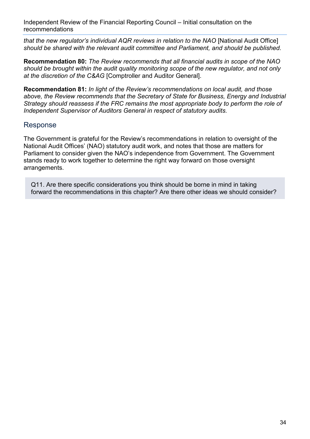*that the new regulator's individual AQR reviews in relation to the NAO* [National Audit Office] *should be shared with the relevant audit committee and Parliament, and should be published.*

**Recommendation 80:** *The Review recommends that all financial audits in scope of the NAO should be brought within the audit quality monitoring scope of the new regulator, and not only at the discretion of the C&AG* [Comptroller and Auditor General].

**Recommendation 81:** *In light of the Review's recommendations on local audit, and those above, the Review recommends that the Secretary of State for Business, Energy and Industrial Strategy should reassess if the FRC remains the most appropriate body to perform the role of Independent Supervisor of Auditors General in respect of statutory audits.* 

#### Response

The Government is grateful for the Review's recommendations in relation to oversight of the National Audit Offices' (NAO) statutory audit work, and notes that those are matters for Parliament to consider given the NAO's independence from Government. The Government stands ready to work together to determine the right way forward on those oversight arrangements.

Q11. Are there specific considerations you think should be borne in mind in taking forward the recommendations in this chapter? Are there other ideas we should consider?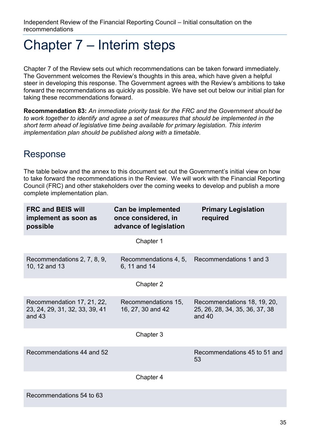## <span id="page-34-0"></span>Chapter 7 – Interim steps

Chapter 7 of the Review sets out which recommendations can be taken forward immediately. The Government welcomes the Review's thoughts in this area, which have given a helpful steer in developing this response. The Government agrees with the Review's ambitions to take forward the recommendations as quickly as possible. We have set out below our initial plan for taking these recommendations forward.

**Recommendation 83:** *An immediate priority task for the FRC and the Government should be*  to work together to identify and agree a set of measures that should be implemented in the *short term ahead of legislative time being available for primary legislation. This interim implementation plan should be published along with a timetable.*

## Response

The table below and the annex to this document set out the Government's initial view on how to take forward the recommendations in the Review. We will work with the Financial Reporting Council (FRC) and other stakeholders over the coming weeks to develop and publish a more complete implementation plan.

| <b>FRC and BEIS will</b><br>implement as soon as<br>possible             | Can be implemented<br>once considered, in<br>advance of legislation | <b>Primary Legislation</b><br>required                                    |
|--------------------------------------------------------------------------|---------------------------------------------------------------------|---------------------------------------------------------------------------|
|                                                                          | Chapter 1                                                           |                                                                           |
| Recommendations 2, 7, 8, 9,<br>10, 12 and 13                             | Recommendations 4, 5,<br>6, 11 and 14                               | Recommendations 1 and 3                                                   |
|                                                                          | Chapter 2                                                           |                                                                           |
| Recommendation 17, 21, 22,<br>23, 24, 29, 31, 32, 33, 39, 41<br>and $43$ | Recommendations 15,<br>16, 27, 30 and 42                            | Recommendations 18, 19, 20,<br>25, 26, 28, 34, 35, 36, 37, 38<br>and $40$ |
|                                                                          | Chapter 3                                                           |                                                                           |
| Recommendations 44 and 52                                                |                                                                     | Recommendations 45 to 51 and<br>53                                        |
|                                                                          | Chapter 4                                                           |                                                                           |
| Recommendations 54 to 63                                                 |                                                                     |                                                                           |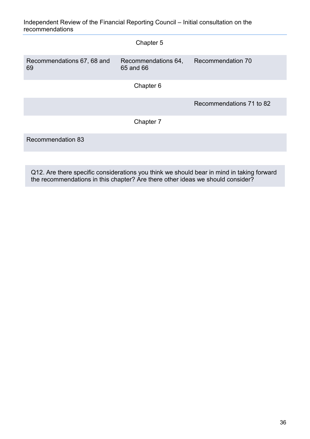|                                  | Chapter 5                        |                          |
|----------------------------------|----------------------------------|--------------------------|
| Recommendations 67, 68 and<br>69 | Recommendations 64,<br>65 and 66 | Recommendation 70        |
|                                  | Chapter 6                        |                          |
|                                  |                                  | Recommendations 71 to 82 |
|                                  | Chapter 7                        |                          |
| <b>Recommendation 83</b>         |                                  |                          |

Q12. Are there specific considerations you think we should bear in mind in taking forward the recommendations in this chapter? Are there other ideas we should consider?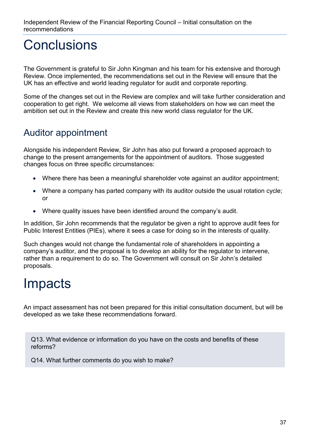## <span id="page-36-0"></span>**Conclusions**

The Government is grateful to Sir John Kingman and his team for his extensive and thorough Review. Once implemented, the recommendations set out in the Review will ensure that the UK has an effective and world leading regulator for audit and corporate reporting.

Some of the changes set out in the Review are complex and will take further consideration and cooperation to get right. We welcome all views from stakeholders on how we can meet the ambition set out in the Review and create this new world class regulator for the UK.

## Auditor appointment

Alongside his independent Review, Sir John has also put forward a proposed approach to change to the present arrangements for the appointment of auditors. Those suggested changes focus on three specific circumstances:

- Where there has been a meaningful shareholder vote against an auditor appointment:
- Where a company has parted company with its auditor outside the usual rotation cycle; or
- Where quality issues have been identified around the company's audit.

In addition, Sir John recommends that the regulator be given a right to approve audit fees for Public Interest Entities (PIEs), where it sees a case for doing so in the interests of quality.

Such changes would not change the fundamental role of shareholders in appointing a company's auditor, and the proposal is to develop an ability for the regulator to intervene, rather than a requirement to do so. The Government will consult on Sir John's detailed proposals.

## <span id="page-36-1"></span>**Impacts**

An impact assessment has not been prepared for this initial consultation document, but will be developed as we take these recommendations forward.

Q13. What evidence or information do you have on the costs and benefits of these reforms?

Q14. What further comments do you wish to make?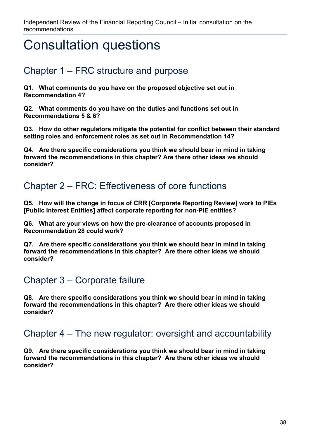## <span id="page-37-0"></span>Consultation questions

## Chapter 1 – FRC structure and purpose

**Q1. What comments do you have on the proposed objective set out in Recommendation 4?**

**Q2. What comments do you have on the duties and functions set out in Recommendations 5 & 6?**

**Q3. How do other regulators mitigate the potential for conflict between their standard setting roles and enforcement roles as set out in Recommendation 14?**

**Q4. Are there specific considerations you think we should bear in mind in taking forward the recommendations in this chapter? Are there other ideas we should consider?** 

## Chapter 2 – FRC: Effectiveness of core functions

**Q5. How will the change in focus of CRR [Corporate Reporting Review] work to PIEs [Public Interest Entities] affect corporate reporting for non-PIE entities?**

**Q6. What are your views on how the pre-clearance of accounts proposed in Recommendation 28 could work?**

**Q7. Are there specific considerations you think we should bear in mind in taking forward the recommendations in this chapter? Are there other ideas we should consider?** 

## Chapter 3 – Corporate failure

**Q8. Are there specific considerations you think we should bear in mind in taking forward the recommendations in this chapter? Are there other ideas we should consider?** 

## Chapter 4 – The new regulator: oversight and accountability

**Q9. Are there specific considerations you think we should bear in mind in taking forward the recommendations in this chapter? Are there other ideas we should consider?**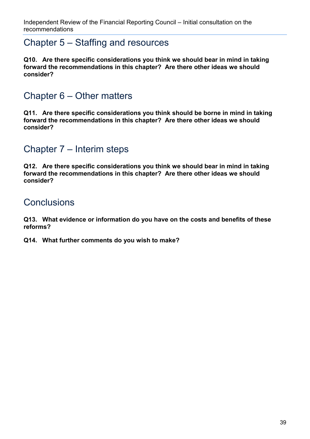### Chapter 5 – Staffing and resources

**Q10. Are there specific considerations you think we should bear in mind in taking forward the recommendations in this chapter? Are there other ideas we should consider?** 

## Chapter 6 – Other matters

**Q11. Are there specific considerations you think should be borne in mind in taking forward the recommendations in this chapter? Are there other ideas we should consider?** 

## Chapter 7 – Interim steps

**Q12. Are there specific considerations you think we should bear in mind in taking forward the recommendations in this chapter? Are there other ideas we should consider?** 

## **Conclusions**

**Q13. What evidence or information do you have on the costs and benefits of these reforms?**

**Q14. What further comments do you wish to make?**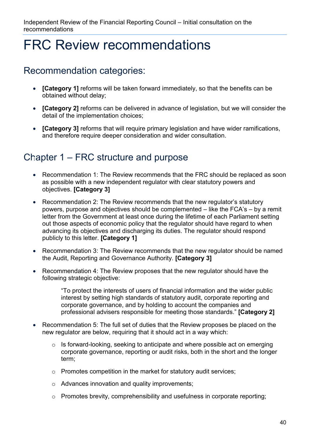## <span id="page-39-0"></span>FRC Review recommendations

### Recommendation categories:

- **[Category 1]** reforms will be taken forward immediately, so that the benefits can be obtained without delay;
- **[Category 2]** reforms can be delivered in advance of legislation, but we will consider the detail of the implementation choices;
- **[Category 3]** reforms that will require primary legislation and have wider ramifications, and therefore require deeper consideration and wider consultation.

## Chapter 1 – FRC structure and purpose **3**

- Recommendation 1: The Review recommends that the FRC should be replaced as soon as possible with a new independent regulator with clear statutory powers and objectives. **[Category 3]**
- Recommendation 2: The Review recommends that the new regulator's statutory powers, purpose and objectives should be complemented – like the FCA's – by a remit letter from the Government at least once during the lifetime of each Parliament setting out those aspects of economic policy that the regulator should have regard to when advancing its objectives and discharging its duties. The regulator should respond publicly to this letter. **[Category 1]**
- Recommendation 3: The Review recommends that the new regulator should be named the Audit, Reporting and Governance Authority. **[Category 3]**
- Recommendation 4: The Review proposes that the new regulator should have the following strategic objective:

"To protect the interests of users of financial information and the wider public interest by setting high standards of statutory audit, corporate reporting and corporate governance, and by holding to account the companies and professional advisers responsible for meeting those standards." **[Category 2]**

- Recommendation 5: The full set of duties that the Review proposes be placed on the new regulator are below, requiring that it should act in a way which:
	- o Is forward-looking, seeking to anticipate and where possible act on emerging corporate governance, reporting or audit risks, both in the short and the longer term;
	- o Promotes competition in the market for statutory audit services;
	- o Advances innovation and quality improvements;
	- o Promotes brevity, comprehensibility and usefulness in corporate reporting;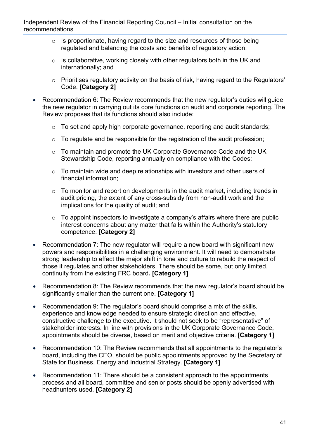- $\circ$  Is proportionate, having regard to the size and resources of those being regulated and balancing the costs and benefits of regulatory action;
- $\circ$  Is collaborative, working closely with other regulators both in the UK and internationally; and
- o Prioritises regulatory activity on the basis of risk, having regard to the Regulators' Code. **[Category 2]**
- Recommendation 6: The Review recommends that the new regulator's duties will guide the new regulator in carrying out its core functions on audit and corporate reporting. The Review proposes that its functions should also include:
	- o To set and apply high corporate governance, reporting and audit standards;
	- o To regulate and be responsible for the registration of the audit profession;
	- o To maintain and promote the UK Corporate Governance Code and the UK Stewardship Code, reporting annually on compliance with the Codes;
	- $\circ$  To maintain wide and deep relationships with investors and other users of financial information;
	- $\circ$  To monitor and report on developments in the audit market, including trends in audit pricing, the extent of any cross-subsidy from non-audit work and the implications for the quality of audit; and
	- $\circ$  To appoint inspectors to investigate a company's affairs where there are public interest concerns about any matter that falls within the Authority's statutory competence. **[Category 2]**
- Recommendation 7: The new regulator will require a new board with significant new powers and responsibilities in a challenging environment. It will need to demonstrate strong leadership to effect the major shift in tone and culture to rebuild the respect of those it regulates and other stakeholders. There should be some, but only limited, continuity from the existing FRC board**. [Category 1]**
- Recommendation 8: The Review recommends that the new regulator's board should be significantly smaller than the current one. **[Category 1]**
- Recommendation 9: The regulator's board should comprise a mix of the skills, experience and knowledge needed to ensure strategic direction and effective, constructive challenge to the executive. It should not seek to be "representative" of stakeholder interests. In line with provisions in the UK Corporate Governance Code, appointments should be diverse, based on merit and objective criteria. **[Category 1]**
- Recommendation 10: The Review recommends that all appointments to the regulator's board, including the CEO, should be public appointments approved by the Secretary of State for Business, Energy and Industrial Strategy. **[Category 1]**
- Recommendation 11: There should be a consistent approach to the appointments process and all board, committee and senior posts should be openly advertised with headhunters used. **[Category 2]**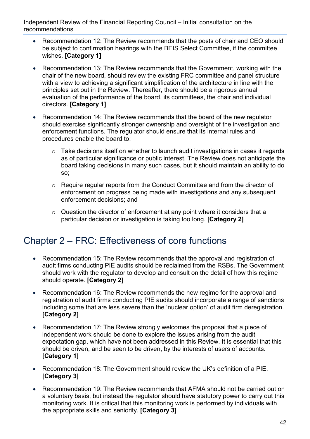- Recommendation 12: The Review recommends that the posts of chair and CEO should be subject to confirmation hearings with the BEIS Select Committee, if the committee wishes. **[Category 1]**
- Recommendation 13: The Review recommends that the Government, working with the chair of the new board, should review the existing FRC committee and panel structure with a view to achieving a significant simplification of the architecture in line with the principles set out in the Review. Thereafter, there should be a rigorous annual evaluation of the performance of the board, its committees, the chair and individual directors. **[Category 1]**
- Recommendation 14: The Review recommends that the board of the new regulator should exercise significantly stronger ownership and oversight of the investigation and enforcement functions. The regulator should ensure that its internal rules and procedures enable the board to:
	- o Take decisions itself on whether to launch audit investigations in cases it regards as of particular significance or public interest. The Review does not anticipate the board taking decisions in many such cases, but it should maintain an ability to do so;
	- o Require regular reports from the Conduct Committee and from the director of enforcement on progress being made with investigations and any subsequent enforcement decisions; and
	- o Question the director of enforcement at any point where it considers that a particular decision or investigation is taking too long. **[Category 2]**

## Chapter 2 – FRC: Effectiveness of core functions

- Recommendation 15: The Review recommends that the approval and registration of audit firms conducting PIE audits should be reclaimed from the RSBs. The Government should work with the regulator to develop and consult on the detail of how this regime should operate. **[Category 2]**
- Recommendation 16: The Review recommends the new regime for the approval and registration of audit firms conducting PIE audits should incorporate a range of sanctions including some that are less severe than the 'nuclear option' of audit firm deregistration. **[Category 2]**
- Recommendation 17: The Review strongly welcomes the proposal that a piece of independent work should be done to explore the issues arising from the audit expectation gap, which have not been addressed in this Review. It is essential that this should be driven, and be seen to be driven, by the interests of users of accounts. **[Category 1]**
- Recommendation 18: The Government should review the UK's definition of a PIE. **[Category 3]**
- Recommendation 19: The Review recommends that AFMA should not be carried out on a voluntary basis, but instead the regulator should have statutory power to carry out this monitoring work. It is critical that this monitoring work is performed by individuals with the appropriate skills and seniority. **[Category 3]**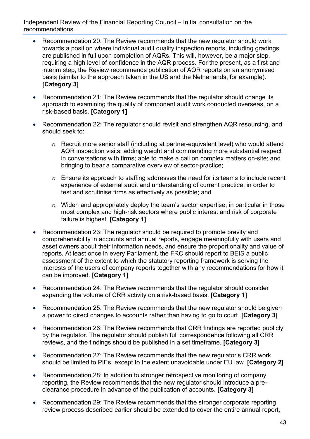- Recommendation 20: The Review recommends that the new regulator should work towards a position where individual audit quality inspection reports, including gradings, are published in full upon completion of AQRs. This will, however, be a major step, requiring a high level of confidence in the AQR process. For the present, as a first and interim step, the Review recommends publication of AQR reports on an anonymised basis (similar to the approach taken in the US and the Netherlands, for example). **[Category 3]**
- Recommendation 21: The Review recommends that the regulator should change its approach to examining the quality of component audit work conducted overseas, on a risk-based basis. **[Category 1]**
- Recommendation 22: The regulator should revisit and strengthen AQR resourcing, and should seek to:
	- o Recruit more senior staff (including at partner-equivalent level) who would attend AQR inspection visits, adding weight and commanding more substantial respect in conversations with firms; able to make a call on complex matters on-site; and bringing to bear a comparative overview of sector-practice;
	- o Ensure its approach to staffing addresses the need for its teams to include recent experience of external audit and understanding of current practice, in order to test and scrutinise firms as effectively as possible; and
	- o Widen and appropriately deploy the team's sector expertise, in particular in those most complex and high-risk sectors where public interest and risk of corporate failure is highest. **[Category 1]**
- Recommendation 23: The regulator should be required to promote brevity and comprehensibility in accounts and annual reports, engage meaningfully with users and asset owners about their information needs, and ensure the proportionality and value of reports. At least once in every Parliament, the FRC should report to BEIS a public assessment of the extent to which the statutory reporting framework is serving the interests of the users of company reports together with any recommendations for how it can be improved. **[Category 1]**
- Recommendation 24: The Review recommends that the regulator should consider expanding the volume of CRR activity on a risk-based basis. **[Category 1]**
- Recommendation 25: The Review recommends that the new regulator should be given a power to direct changes to accounts rather than having to go to court. **[Category 3]**
- Recommendation 26: The Review recommends that CRR findings are reported publicly by the regulator. The regulator should publish full correspondence following all CRR reviews, and the findings should be published in a set timeframe. **[Category 3]**
- Recommendation 27: The Review recommends that the new regulator's CRR work should be limited to PIEs, except to the extent unavoidable under EU law. **[Category 2]**
- Recommendation 28: In addition to stronger retrospective monitoring of company reporting, the Review recommends that the new regulator should introduce a preclearance procedure in advance of the publication of accounts. **[Category 3]**
- Recommendation 29: The Review recommends that the stronger corporate reporting review process described earlier should be extended to cover the entire annual report,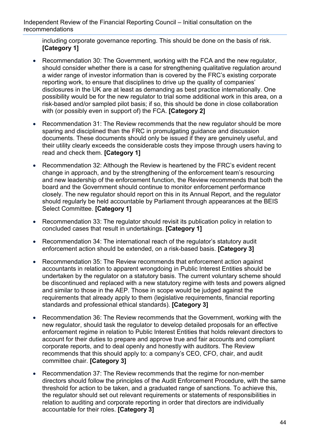including corporate governance reporting. This should be done on the basis of risk. **[Category 1]**

- Recommendation 30: The Government, working with the FCA and the new regulator, should consider whether there is a case for strengthening qualitative regulation around a wider range of investor information than is covered by the FRC's existing corporate reporting work, to ensure that disciplines to drive up the quality of companies' disclosures in the UK are at least as demanding as best practice internationally. One possibility would be for the new regulator to trial some additional work in this area, on a risk-based and/or sampled pilot basis; if so, this should be done in close collaboration with (or possibly even in support of) the FCA. **[Category 2]**
- Recommendation 31: The Review recommends that the new regulator should be more sparing and disciplined than the FRC in promulgating guidance and discussion documents. These documents should only be issued if they are genuinely useful, and their utility clearly exceeds the considerable costs they impose through users having to read and check them. **[Category 1]**
- Recommendation 32: Although the Review is heartened by the FRC's evident recent change in approach, and by the strengthening of the enforcement team's resourcing and new leadership of the enforcement function, the Review recommends that both the board and the Government should continue to monitor enforcement performance closely. The new regulator should report on this in its Annual Report, and the regulator should regularly be held accountable by Parliament through appearances at the BEIS Select Committee. **[Category 1]**
- Recommendation 33: The regulator should revisit its publication policy in relation to concluded cases that result in undertakings. **[Category 1]**
- Recommendation 34: The international reach of the regulator's statutory audit enforcement action should be extended, on a risk-based basis. **[Category 3]**
- Recommendation 35: The Review recommends that enforcement action against accountants in relation to apparent wrongdoing in Public Interest Entities should be undertaken by the regulator on a statutory basis. The current voluntary scheme should be discontinued and replaced with a new statutory regime with tests and powers aligned and similar to those in the AEP. Those in scope would be judged against the requirements that already apply to them (legislative requirements, financial reporting standards and professional ethical standards). **[Category 3]**
- Recommendation 36: The Review recommends that the Government, working with the new regulator, should task the regulator to develop detailed proposals for an effective enforcement regime in relation to Public Interest Entities that holds relevant directors to account for their duties to prepare and approve true and fair accounts and compliant corporate reports, and to deal openly and honestly with auditors. The Review recommends that this should apply to: a company's CEO, CFO, chair, and audit committee chair. **[Category 3]**
- Recommendation 37: The Review recommends that the regime for non-member directors should follow the principles of the Audit Enforcement Procedure, with the same threshold for action to be taken, and a graduated range of sanctions. To achieve this, the regulator should set out relevant requirements or statements of responsibilities in relation to auditing and corporate reporting in order that directors are individually accountable for their roles. **[Category 3]**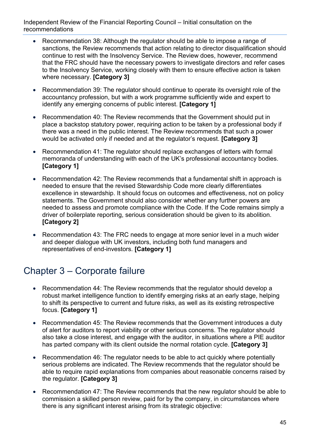- Recommendation 38: Although the regulator should be able to impose a range of sanctions, the Review recommends that action relating to director disqualification should continue to rest with the Insolvency Service. The Review does, however, recommend that the FRC should have the necessary powers to investigate directors and refer cases to the Insolvency Service, working closely with them to ensure effective action is taken where necessary. **[Category 3]**
- Recommendation 39: The regulator should continue to operate its oversight role of the accountancy profession, but with a work programme sufficiently wide and expert to identify any emerging concerns of public interest. **[Category 1]**
- Recommendation 40: The Review recommends that the Government should put in place a backstop statutory power, requiring action to be taken by a professional body if there was a need in the public interest. The Review recommends that such a power would be activated only if needed and at the regulator's request. **[Category 3]**
- Recommendation 41: The regulator should replace exchanges of letters with formal memoranda of understanding with each of the UK's professional accountancy bodies. **[Category 1]**
- Recommendation 42: The Review recommends that a fundamental shift in approach is needed to ensure that the revised Stewardship Code more clearly differentiates excellence in stewardship. It should focus on outcomes and effectiveness, not on policy statements. The Government should also consider whether any further powers are needed to assess and promote compliance with the Code. If the Code remains simply a driver of boilerplate reporting, serious consideration should be given to its abolition. **[Category 2]**
- Recommendation 43: The FRC needs to engage at more senior level in a much wider and deeper dialogue with UK investors, including both fund managers and representatives of end-investors. **[Category 1]**

## Chapter 3 – Corporate failure

- Recommendation 44: The Review recommends that the regulator should develop a robust market intelligence function to identify emerging risks at an early stage, helping to shift its perspective to current and future risks, as well as its existing retrospective focus. **[Category 1]**
- Recommendation 45: The Review recommends that the Government introduces a duty of alert for auditors to report viability or other serious concerns. The regulator should also take a close interest, and engage with the auditor, in situations where a PIE auditor has parted company with its client outside the normal rotation cycle. **[Category 3]**
- Recommendation 46: The regulator needs to be able to act quickly where potentially serious problems are indicated. The Review recommends that the regulator should be able to require rapid explanations from companies about reasonable concerns raised by the regulator. **[Category 3]**
- Recommendation 47: The Review recommends that the new regulator should be able to commission a skilled person review, paid for by the company, in circumstances where there is any significant interest arising from its strategic objective: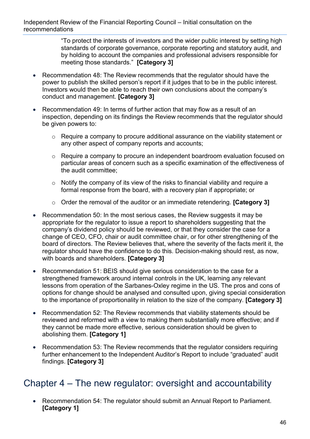"To protect the interests of investors and the wider public interest by setting high standards of corporate governance, corporate reporting and statutory audit, and by holding to account the companies and professional advisers responsible for meeting those standards." **[Category 3]**

- Recommendation 48: The Review recommends that the regulator should have the power to publish the skilled person's report if it judges that to be in the public interest. Investors would then be able to reach their own conclusions about the company's conduct and management. **[Category 3]**
- Recommendation 49: In terms of further action that may flow as a result of an inspection, depending on its findings the Review recommends that the regulator should be given powers to:
	- o Require a company to procure additional assurance on the viability statement or any other aspect of company reports and accounts;
	- o Require a company to procure an independent boardroom evaluation focused on particular areas of concern such as a specific examination of the effectiveness of the audit committee;
	- $\circ$  Notify the company of its view of the risks to financial viability and require a formal response from the board, with a recovery plan if appropriate; or
	- o Order the removal of the auditor or an immediate retendering. **[Category 3]**
- Recommendation 50: In the most serious cases, the Review suggests it may be appropriate for the regulator to issue a report to shareholders suggesting that the company's dividend policy should be reviewed, or that they consider the case for a change of CEO, CFO, chair or audit committee chair, or for other strengthening of the board of directors. The Review believes that, where the severity of the facts merit it, the regulator should have the confidence to do this. Decision-making should rest, as now, with boards and shareholders. **[Category 3]**
- Recommendation 51: BEIS should give serious consideration to the case for a strengthened framework around internal controls in the UK, learning any relevant lessons from operation of the Sarbanes-Oxley regime in the US. The pros and cons of options for change should be analysed and consulted upon, giving special consideration to the importance of proportionality in relation to the size of the company. **[Category 3]**
- Recommendation 52: The Review recommends that viability statements should be reviewed and reformed with a view to making them substantially more effective; and if they cannot be made more effective, serious consideration should be given to abolishing them. **[Category 1]**
- Recommendation 53: The Review recommends that the regulator considers requiring further enhancement to the Independent Auditor's Report to include "graduated" audit findings. **[Category 3]**

### Chapter 4 – The new regulator: oversight and accountability

• Recommendation 54: The regulator should submit an Annual Report to Parliament. **[Category 1]**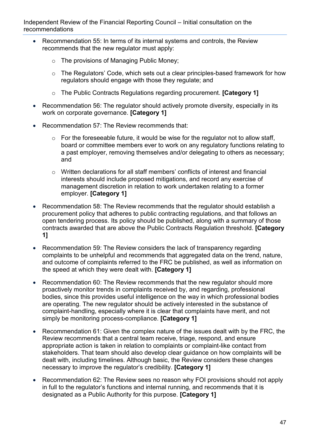- Recommendation 55: In terms of its internal systems and controls, the Review recommends that the new regulator must apply:
	- o The provisions of Managing Public Money;
	- o The Regulators' Code, which sets out a clear principles-based framework for how regulators should engage with those they regulate; and
	- o The Public Contracts Regulations regarding procurement. **[Category 1]**
- Recommendation 56: The regulator should actively promote diversity, especially in its work on corporate governance. **[Category 1]**
- Recommendation 57: The Review recommends that:
	- $\circ$  For the foreseeable future, it would be wise for the regulator not to allow staff, board or committee members ever to work on any regulatory functions relating to a past employer, removing themselves and/or delegating to others as necessary; and
	- o Written declarations for all staff members' conflicts of interest and financial interests should include proposed mitigations, and record any exercise of management discretion in relation to work undertaken relating to a former employer. **[Category 1]**
- Recommendation 58: The Review recommends that the regulator should establish a procurement policy that adheres to public contracting regulations, and that follows an open tendering process. Its policy should be published, along with a summary of those contracts awarded that are above the Public Contracts Regulation threshold. **[Category 1]**
- Recommendation 59: The Review considers the lack of transparency regarding complaints to be unhelpful and recommends that aggregated data on the trend, nature, and outcome of complaints referred to the FRC be published, as well as information on the speed at which they were dealt with. **[Category 1]**
- Recommendation 60: The Review recommends that the new regulator should more proactively monitor trends in complaints received by, and regarding, professional bodies, since this provides useful intelligence on the way in which professional bodies are operating. The new regulator should be actively interested in the substance of complaint-handling, especially where it is clear that complaints have merit, and not simply be monitoring process-compliance. **[Category 1]**
- Recommendation 61: Given the complex nature of the issues dealt with by the FRC, the Review recommends that a central team receive, triage, respond, and ensure appropriate action is taken in relation to complaints or complaint-like contact from stakeholders. That team should also develop clear guidance on how complaints will be dealt with, including timelines. Although basic, the Review considers these changes necessary to improve the regulator's credibility. **[Category 1]**
- Recommendation 62: The Review sees no reason why FOI provisions should not apply in full to the regulator's functions and internal running, and recommends that it is designated as a Public Authority for this purpose. **[Category 1]**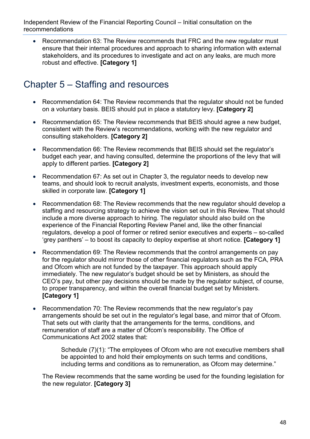• Recommendation 63: The Review recommends that FRC and the new regulator must ensure that their internal procedures and approach to sharing information with external stakeholders, and its procedures to investigate and act on any leaks, are much more robust and effective. **[Category 1]**

## Chapter 5 – Staffing and resources

- Recommendation 64: The Review recommends that the regulator should not be funded on a voluntary basis. BEIS should put in place a statutory levy. **[Category 2]**
- Recommendation 65: The Review recommends that BEIS should agree a new budget, consistent with the Review's recommendations, working with the new regulator and consulting stakeholders. **[Category 2]**
- Recommendation 66: The Review recommends that BEIS should set the regulator's budget each year, and having consulted, determine the proportions of the levy that will apply to different parties. **[Category 2]**
- Recommendation 67: As set out in Chapter 3, the regulator needs to develop new teams, and should look to recruit analysts, investment experts, economists, and those skilled in corporate law. **[Category 1]**
- Recommendation 68: The Review recommends that the new regulator should develop a staffing and resourcing strategy to achieve the vision set out in this Review. That should include a more diverse approach to hiring. The regulator should also build on the experience of the Financial Reporting Review Panel and, like the other financial regulators, develop a pool of former or retired senior executives and experts – so-called 'grey panthers' – to boost its capacity to deploy expertise at short notice. **[Category 1]**
- Recommendation 69: The Review recommends that the control arrangements on pay for the regulator should mirror those of other financial regulators such as the FCA, PRA and Ofcom which are not funded by the taxpayer. This approach should apply immediately. The new regulator's budget should be set by Ministers, as should the CEO's pay, but other pay decisions should be made by the regulator subject, of course, to proper transparency, and within the overall financial budget set by Ministers. **[Category 1]**
- Recommendation 70: The Review recommends that the new regulator's pay arrangements should be set out in the regulator's legal base, and mirror that of Ofcom. That sets out with clarity that the arrangements for the terms, conditions, and remuneration of staff are a matter of Ofcom's responsibility. The Office of Communications Act 2002 states that:

Schedule (7)(1): "The employees of Ofcom who are not executive members shall be appointed to and hold their employments on such terms and conditions, including terms and conditions as to remuneration, as Ofcom may determine."

The Review recommends that the same wording be used for the founding legislation for the new regulator. **[Category 3]**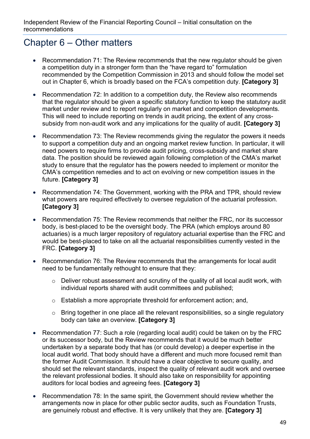## Chapter 6 – Other matters

- Recommendation 71: The Review recommends that the new regulator should be given a competition duty in a stronger form than the "have regard to" formulation recommended by the Competition Commission in 2013 and should follow the model set out in Chapter 6, which is broadly based on the FCA's competition duty. **[Category 3]**
- Recommendation 72: In addition to a competition duty, the Review also recommends that the regulator should be given a specific statutory function to keep the statutory audit market under review and to report regularly on market and competition developments. This will need to include reporting on trends in audit pricing, the extent of any crosssubsidy from non-audit work and any implications for the quality of audit. **[Category 3]**
- Recommendation 73: The Review recommends giving the regulator the powers it needs to support a competition duty and an ongoing market review function. In particular, it will need powers to require firms to provide audit pricing, cross-subsidy and market share data. The position should be reviewed again following completion of the CMA's market study to ensure that the regulator has the powers needed to implement or monitor the CMA's competition remedies and to act on evolving or new competition issues in the future. **[Category 3]**
- Recommendation 74: The Government, working with the PRA and TPR, should review what powers are required effectively to oversee regulation of the actuarial profession. **[Category 3]**
- Recommendation 75: The Review recommends that neither the FRC, nor its successor body, is best-placed to be the oversight body. The PRA (which employs around 80 actuaries) is a much larger repository of regulatory actuarial expertise than the FRC and would be best-placed to take on all the actuarial responsibilities currently vested in the FRC. **[Category 3]**
- Recommendation 76: The Review recommends that the arrangements for local audit need to be fundamentally rethought to ensure that they:
	- o Deliver robust assessment and scrutiny of the quality of all local audit work, with individual reports shared with audit committees and published;
	- o Establish a more appropriate threshold for enforcement action; and,
	- o Bring together in one place all the relevant responsibilities, so a single regulatory body can take an overview. **[Category 3]**
- Recommendation 77: Such a role (regarding local audit) could be taken on by the FRC or its successor body, but the Review recommends that it would be much better undertaken by a separate body that has (or could develop) a deeper expertise in the local audit world. That body should have a different and much more focused remit than the former Audit Commission. It should have a clear objective to secure quality, and should set the relevant standards, inspect the quality of relevant audit work and oversee the relevant professional bodies. It should also take on responsibility for appointing auditors for local bodies and agreeing fees. **[Category 3]**
- Recommendation 78: In the same spirit, the Government should review whether the arrangements now in place for other public sector audits, such as Foundation Trusts, are genuinely robust and effective. It is very unlikely that they are. **[Category 3]**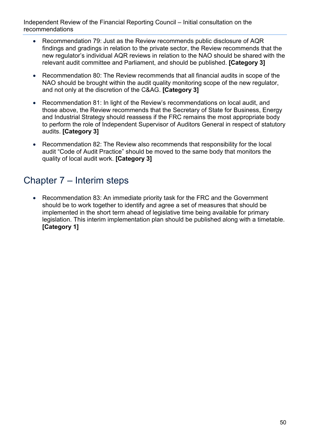- Recommendation 79: Just as the Review recommends public disclosure of AQR findings and gradings in relation to the private sector, the Review recommends that the new regulator's individual AQR reviews in relation to the NAO should be shared with the relevant audit committee and Parliament, and should be published. **[Category 3]**
- Recommendation 80: The Review recommends that all financial audits in scope of the NAO should be brought within the audit quality monitoring scope of the new regulator, and not only at the discretion of the C&AG. **[Category 3]**
- Recommendation 81: In light of the Review's recommendations on local audit, and those above, the Review recommends that the Secretary of State for Business, Energy and Industrial Strategy should reassess if the FRC remains the most appropriate body to perform the role of Independent Supervisor of Auditors General in respect of statutory audits. **[Category 3]**
- Recommendation 82: The Review also recommends that responsibility for the local audit "Code of Audit Practice" should be moved to the same body that monitors the quality of local audit work. **[Category 3]**

## Chapter 7 – Interim steps

• Recommendation 83: An immediate priority task for the FRC and the Government should be to work together to identify and agree a set of measures that should be implemented in the short term ahead of legislative time being available for primary legislation. This interim implementation plan should be published along with a timetable. **[Category 1]**